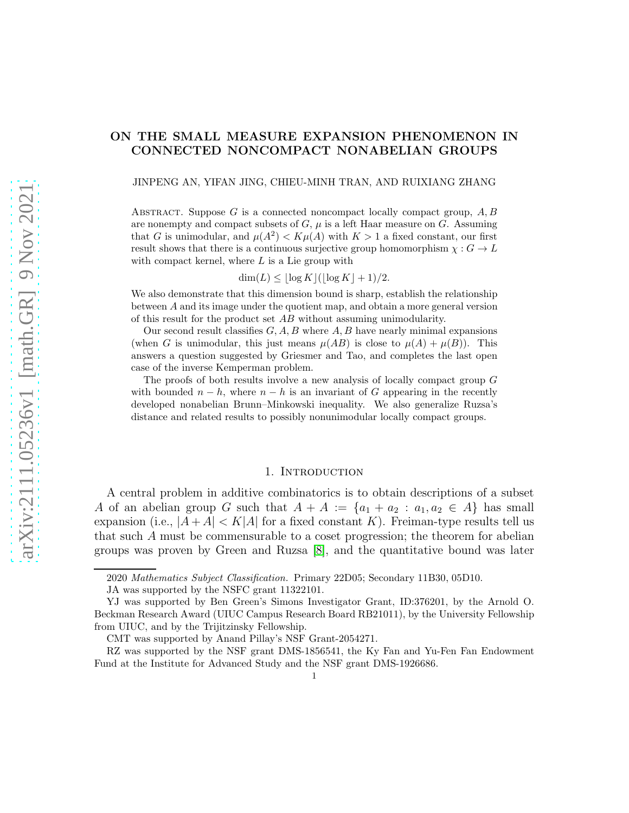# arXiv:2111.05236v1 [math.GR] 9 Nov 2021 [arXiv:2111.05236v1 \[math.GR\] 9 Nov 2021](http://arxiv.org/abs/2111.05236v1)

# ON THE SMALL MEASURE EXPANSION PHENOMENON IN CONNECTED NONCOMPACT NONABELIAN GROUPS

JINPENG AN, YIFAN JING, CHIEU-MINH TRAN, AND RUIXIANG ZHANG

ABSTRACT. Suppose  $G$  is a connected noncompact locally compact group,  $A, B$ are nonempty and compact subsets of  $G$ ,  $\mu$  is a left Haar measure on  $G$ . Assuming that G is unimodular, and  $\mu(A^2) < K\mu(A)$  with  $K > 1$  a fixed constant, our first result shows that there is a continuous surjective group homomorphism  $\chi : G \to L$ with compact kernel, where  $L$  is a Lie group with

 $\dim(L) \leq |\log K| (|\log K| + 1)/2.$ 

We also demonstrate that this dimension bound is sharp, establish the relationship between A and its image under the quotient map, and obtain a more general version of this result for the product set  $AB$  without assuming unimodularity.

Our second result classifies  $G, A, B$  where  $A, B$  have nearly minimal expansions (when G is unimodular, this just means  $\mu(AB)$  is close to  $\mu(A) + \mu(B)$ ). This answers a question suggested by Griesmer and Tao, and completes the last open case of the inverse Kemperman problem.

The proofs of both results involve a new analysis of locally compact group G with bounded  $n - h$ , where  $n - h$  is an invariant of G appearing in the recently developed nonabelian Brunn–Minkowski inequality. We also generalize Ruzsa's distance and related results to possibly nonunimodular locally compact groups.

# 1. Introduction

A central problem in additive combinatorics is to obtain descriptions of a subset A of an abelian group G such that  $A + A := \{a_1 + a_2 : a_1, a_2 \in A\}$  has small expansion (i.e.,  $|A + A| < K|A|$  for a fixed constant K). Freiman-type results tell us that such A must be commensurable to a coset progression; the theorem for abelian groups was proven by Green and Ruzsa [\[8\]](#page-23-0), and the quantitative bound was later

<sup>2020</sup> Mathematics Subject Classification. Primary 22D05; Secondary 11B30, 05D10.

JA was supported by the NSFC grant 11322101.

YJ was supported by Ben Green's Simons Investigator Grant, ID:376201, by the Arnold O. Beckman Research Award (UIUC Campus Research Board RB21011), by the University Fellowship from UIUC, and by the Trijitzinsky Fellowship.

CMT was supported by Anand Pillay's NSF Grant-2054271.

RZ was supported by the NSF grant DMS-1856541, the Ky Fan and Yu-Fen Fan Endowment Fund at the Institute for Advanced Study and the NSF grant DMS-1926686.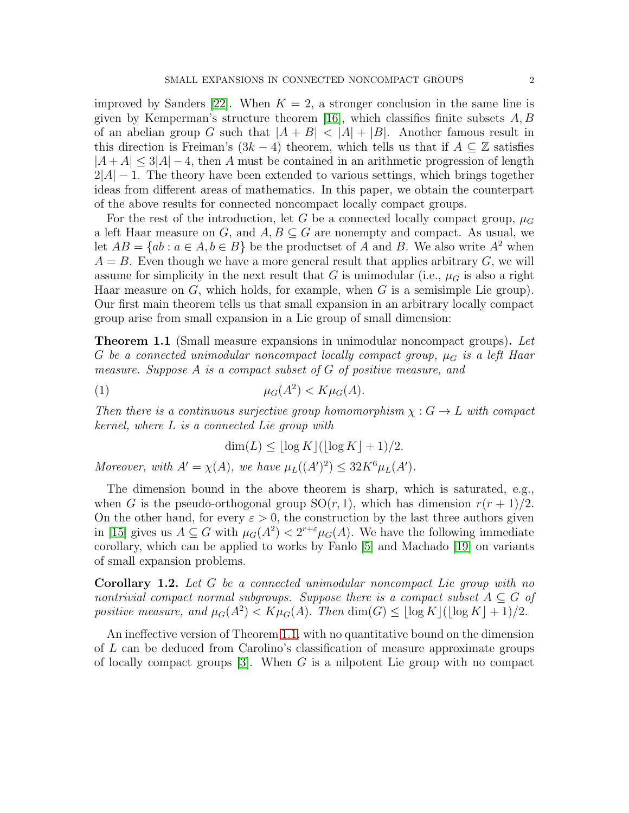improved by Sanders [\[22\]](#page-24-0). When  $K = 2$ , a stronger conclusion in the same line is given by Kemperman's structure theorem [\[16\]](#page-24-1), which classifies finite subsets  $A, B$ of an abelian group G such that  $|A + B| < |A| + |B|$ . Another famous result in this direction is Freiman's  $(3k-4)$  theorem, which tells us that if  $A \subseteq \mathbb{Z}$  satisfies  $|A+A| \leq 3|A|-4$ , then A must be contained in an arithmetic progression of length  $2|A| - 1$ . The theory have been extended to various settings, which brings together ideas from different areas of mathematics. In this paper, we obtain the counterpart of the above results for connected noncompact locally compact groups.

For the rest of the introduction, let G be a connected locally compact group,  $\mu_G$ a left Haar measure on G, and  $A, B \subseteq G$  are nonempty and compact. As usual, we let  $AB = \{ab : a \in A, b \in B\}$  be the productset of A and B. We also write  $A^2$  when  $A = B$ . Even though we have a more general result that applies arbitrary  $G$ , we will assume for simplicity in the next result that G is unimodular (i.e.,  $\mu$ <sup>G</sup> is also a right Haar measure on  $G$ , which holds, for example, when  $G$  is a semisimple Lie group). Our first main theorem tells us that small expansion in an arbitrary locally compact group arise from small expansion in a Lie group of small dimension:

<span id="page-1-0"></span>**Theorem 1.1** (Small measure expansions in unimodular noncompact groups). Let G be a connected unimodular noncompact locally compact group,  $\mu_G$  is a left Haar measure. Suppose A is a compact subset of G of positive measure, and

$$
\mu_G(A^2) < K\mu_G(A).
$$

Then there is a continuous surjective group homomorphism  $\chi : G \to L$  with compact kernel, where L is a connected Lie group with

$$
\dim(L) \le \lfloor \log K \rfloor (\lfloor \log K \rfloor + 1)/2.
$$

Moreover, with  $A' = \chi(A)$ , we have  $\mu_L((A')^2) \leq 32K^6\mu_L(A')$ .

The dimension bound in the above theorem is sharp, which is saturated, e.g., when G is the pseudo-orthogonal group  $SO(r, 1)$ , which has dimension  $r(r + 1)/2$ . On the other hand, for every  $\varepsilon > 0$ , the construction by the last three authors given in [\[15\]](#page-24-2) gives us  $A \subseteq G$  with  $\mu_G(A^2) < 2^{r+\epsilon} \mu_G(A)$ . We have the following immediate corollary, which can be applied to works by Fanlo [\[5\]](#page-23-1) and Machado [\[19\]](#page-24-3) on variants of small expansion problems.

<span id="page-1-1"></span>Corollary 1.2. Let G be a connected unimodular noncompact Lie group with no nontrivial compact normal subgroups. Suppose there is a compact subset  $A \subseteq G$  of positive measure, and  $\mu_G(A^2) < K\mu_G(A)$ . Then  $\dim(G) \leq \lfloor \log K \rfloor (\lfloor \log K \rfloor + 1)/2$ .

An ineffective version of Theorem [1.1,](#page-1-0) with no quantitative bound on the dimension of L can be deduced from Carolino's classification of measure approximate groups of locally compact groups  $[3]$ . When G is a nilpotent Lie group with no compact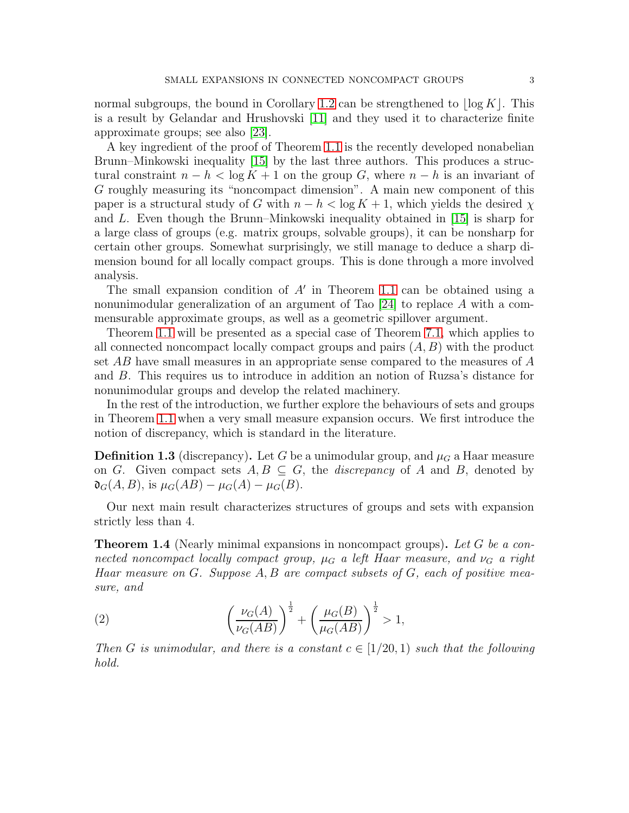normal subgroups, the bound in Corollary [1.2](#page-1-1) can be strengthened to  $\log K$ . This is a result by Gelandar and Hrushovski [\[11\]](#page-23-3) and they used it to characterize finite approximate groups; see also [\[23\]](#page-24-4).

A key ingredient of the proof of Theorem [1.1](#page-1-0) is the recently developed nonabelian Brunn–Minkowski inequality [\[15\]](#page-24-2) by the last three authors. This produces a structural constraint  $n - h < \log K + 1$  on the group G, where  $n - h$  is an invariant of G roughly measuring its "noncompact dimension". A main new component of this paper is a structural study of G with  $n - h < \log K + 1$ , which yields the desired  $\chi$ and L. Even though the Brunn–Minkowski inequality obtained in [\[15\]](#page-24-2) is sharp for a large class of groups (e.g. matrix groups, solvable groups), it can be nonsharp for certain other groups. Somewhat surprisingly, we still manage to deduce a sharp dimension bound for all locally compact groups. This is done through a more involved analysis.

The small expansion condition of  $A'$  in Theorem [1.1](#page-1-0) can be obtained using a nonunimodular generalization of an argument of Tao [\[24\]](#page-24-5) to replace A with a commensurable approximate groups, as well as a geometric spillover argument.

Theorem [1.1](#page-1-0) will be presented as a special case of Theorem [7.1,](#page-20-0) which applies to all connected noncompact locally compact groups and pairs  $(A, B)$  with the product set AB have small measures in an appropriate sense compared to the measures of A and B. This requires us to introduce in addition an notion of Ruzsa's distance for nonunimodular groups and develop the related machinery.

In the rest of the introduction, we further explore the behaviours of sets and groups in Theorem [1.1](#page-1-0) when a very small measure expansion occurs. We first introduce the notion of discrepancy, which is standard in the literature.

**Definition 1.3** (discrepancy). Let G be a unimodular group, and  $\mu_G$  a Haar measure on G. Given compact sets  $A, B \subseteq G$ , the *discrepancy* of A and B, denoted by  $\mathfrak{d}_G(A, B)$ , is  $\mu_G(AB) - \mu_G(A) - \mu_G(B)$ .

Our next main result characterizes structures of groups and sets with expansion strictly less than 4.

<span id="page-2-0"></span>**Theorem 1.4** (Nearly minimal expansions in noncompact groups). Let G be a connected noncompact locally compact group,  $\mu_G$  a left Haar measure, and  $\nu_G$  a right Haar measure on  $G$ . Suppose  $A, B$  are compact subsets of  $G$ , each of positive measure, and

(2) 
$$
\left(\frac{\nu_G(A)}{\nu_G(AB)}\right)^{\frac{1}{2}} + \left(\frac{\mu_G(B)}{\mu_G(AB)}\right)^{\frac{1}{2}} > 1,
$$

Then G is unimodular, and there is a constant  $c \in [1/20, 1)$  such that the following hold.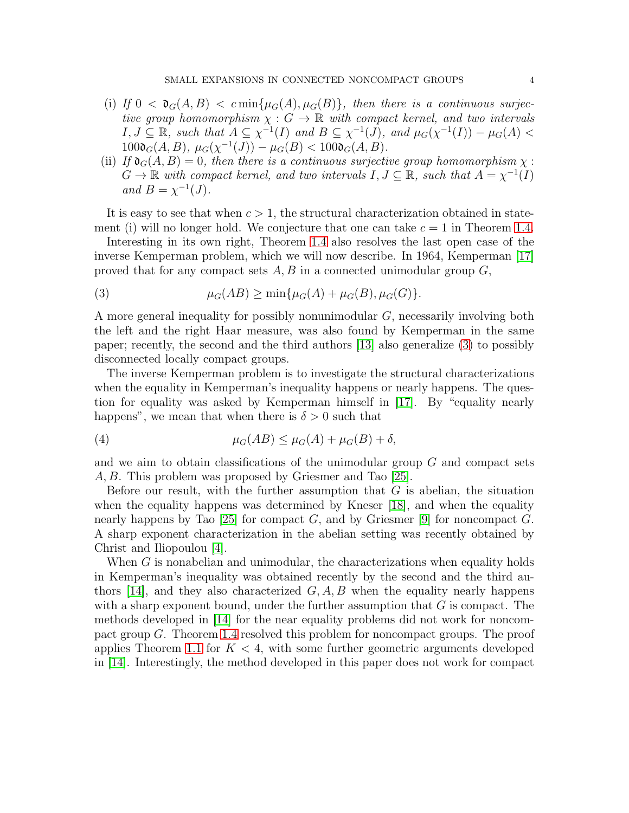- (i) If  $0 < \mathfrak{d}_G(A, B) < c \min{\mu_G(A), \mu_G(B)}$ , then there is a continuous surjective group homomorphism  $\chi : G \to \mathbb{R}$  with compact kernel, and two intervals  $I, J \subseteq \mathbb{R}$ , such that  $A \subseteq \chi^{-1}(I)$  and  $B \subseteq \chi^{-1}(J)$ , and  $\mu_G(\chi^{-1}(I)) - \mu_G(A)$  $100\mathfrak{d}_{G}(A, B), \mu_G(\chi^{-1}(J)) - \mu_G(B) < 100\mathfrak{d}_{G}(A, B).$
- (ii) If  $\mathfrak{d}_{G}(A, B) = 0$ , then there is a continuous surjective group homomorphism  $\chi$ :  $G \to \mathbb{R}$  with compact kernel, and two intervals  $I, J \subseteq \mathbb{R}$ , such that  $A = \chi^{-1}(I)$ and  $B = \chi^{-1}(J)$ .

It is easy to see that when  $c > 1$ , the structural characterization obtained in statement (i) will no longer hold. We conjecture that one can take  $c = 1$  in Theorem [1.4.](#page-2-0)

Interesting in its own right, Theorem [1.4](#page-2-0) also resolves the last open case of the inverse Kemperman problem, which we will now describe. In 1964, Kemperman [\[17\]](#page-24-6) proved that for any compact sets  $A, B$  in a connected unimodular group  $G$ ,

<span id="page-3-0"></span>(3) 
$$
\mu_G(AB) \ge \min{\mu_G(A) + \mu_G(B), \mu_G(G)}.
$$

A more general inequality for possibly nonunimodular G, necessarily involving both the left and the right Haar measure, was also found by Kemperman in the same paper; recently, the second and the third authors [\[13\]](#page-24-7) also generalize [\(3\)](#page-3-0) to possibly disconnected locally compact groups.

The inverse Kemperman problem is to investigate the structural characterizations when the equality in Kemperman's inequality happens or nearly happens. The question for equality was asked by Kemperman himself in [\[17\]](#page-24-6). By "equality nearly happens", we mean that when there is  $\delta > 0$  such that

(4) 
$$
\mu_G(AB) \leq \mu_G(A) + \mu_G(B) + \delta,
$$

and we aim to obtain classifications of the unimodular group  $G$  and compact sets A, B. This problem was proposed by Griesmer and Tao [\[25\]](#page-24-8).

Before our result, with the further assumption that  $G$  is abelian, the situation when the equality happens was determined by Kneser [\[18\]](#page-24-9), and when the equality nearly happens by Tao [\[25\]](#page-24-8) for compact G, and by Griesmer [\[9\]](#page-23-4) for noncompact G. A sharp exponent characterization in the abelian setting was recently obtained by Christ and Iliopoulou [\[4\]](#page-23-5).

When G is nonabelian and unimodular, the characterizations when equality holds in Kemperman's inequality was obtained recently by the second and the third au-thors [\[14\]](#page-24-10), and they also characterized  $G, A, B$  when the equality nearly happens with a sharp exponent bound, under the further assumption that  $G$  is compact. The methods developed in [\[14\]](#page-24-10) for the near equality problems did not work for noncompact group G. Theorem [1.4](#page-2-0) resolved this problem for noncompact groups. The proof applies Theorem [1.1](#page-1-0) for  $K < 4$ , with some further geometric arguments developed in [\[14\]](#page-24-10). Interestingly, the method developed in this paper does not work for compact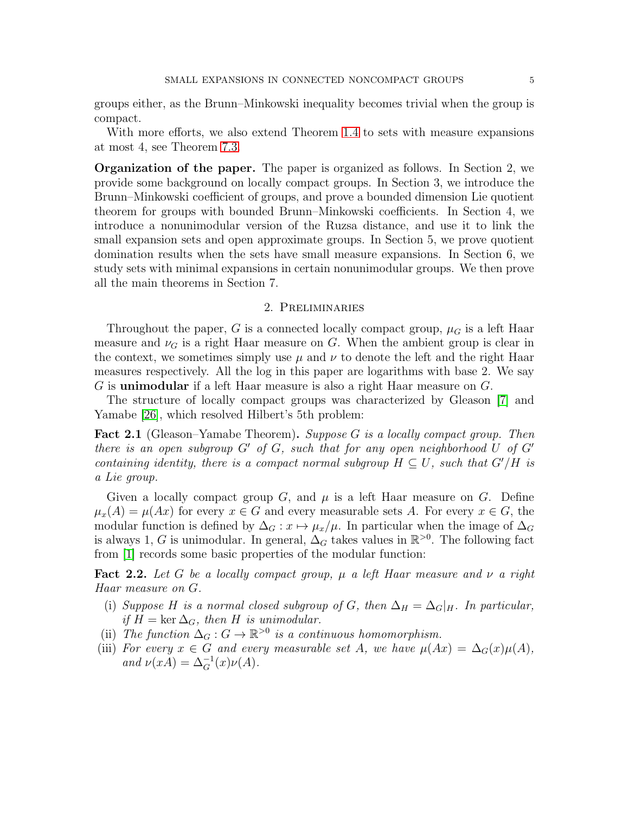groups either, as the Brunn–Minkowski inequality becomes trivial when the group is compact.

With more efforts, we also extend Theorem [1.4](#page-2-0) to sets with measure expansions at most 4, see Theorem [7.3.](#page-22-0)

Organization of the paper. The paper is organized as follows. In Section 2, we provide some background on locally compact groups. In Section 3, we introduce the Brunn–Minkowski coefficient of groups, and prove a bounded dimension Lie quotient theorem for groups with bounded Brunn–Minkowski coefficients. In Section 4, we introduce a nonunimodular version of the Ruzsa distance, and use it to link the small expansion sets and open approximate groups. In Section 5, we prove quotient domination results when the sets have small measure expansions. In Section 6, we study sets with minimal expansions in certain nonunimodular groups. We then prove all the main theorems in Section 7.

# 2. Preliminaries

Throughout the paper, G is a connected locally compact group,  $\mu_G$  is a left Haar measure and  $\nu_G$  is a right Haar measure on G. When the ambient group is clear in the context, we sometimes simply use  $\mu$  and  $\nu$  to denote the left and the right Haar measures respectively. All the log in this paper are logarithms with base 2. We say G is unimodular if a left Haar measure is also a right Haar measure on G.

The structure of locally compact groups was characterized by Gleason [\[7\]](#page-23-6) and Yamabe [\[26\]](#page-24-11), which resolved Hilbert's 5th problem:

<span id="page-4-0"></span>Fact 2.1 (Gleason–Yamabe Theorem). Suppose G is a locally compact group. Then there is an open subgroup  $G'$  of  $G$ , such that for any open neighborhood U of  $G'$ containing identity, there is a compact normal subgroup  $H \subset U$ , such that  $G'/H$  is a Lie group.

Given a locally compact group G, and  $\mu$  is a left Haar measure on G. Define  $\mu_x(A) = \mu(Ax)$  for every  $x \in G$  and every measurable sets A. For every  $x \in G$ , the modular function is defined by  $\Delta_G : x \mapsto \mu_x/\mu$ . In particular when the image of  $\Delta_G$ is always 1, G is unimodular. In general,  $\Delta_G$  takes values in  $\mathbb{R}^{>0}$ . The following fact from [\[1\]](#page-23-7) records some basic properties of the modular function:

Fact 2.2. Let G be a locally compact group,  $\mu$  a left Haar measure and  $\nu$  a right Haar measure on G.

- (i) Suppose H is a normal closed subgroup of G, then  $\Delta_H = \Delta_G|_H$ . In particular, if  $H = \text{ker } \Delta_G$ , then H is unimodular.
- (ii) The function  $\Delta_G : G \to \mathbb{R}^{>0}$  is a continuous homomorphism.
- (iii) For every  $x \in G$  and every measurable set A, we have  $\mu(Ax) = \Delta_G(x)\mu(A)$ , and  $\nu(xA) = \Delta_G^{-1}(x)\nu(A)$ .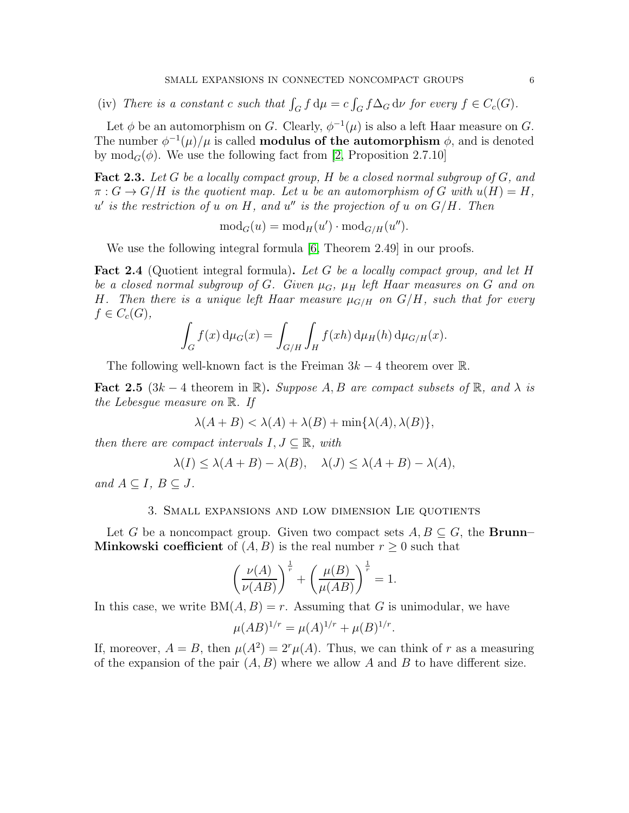(iv) There is a constant c such that  $\int_G f d\mu = c \int_G f \Delta_G d\nu$  for every  $f \in C_c(G)$ .

Let  $\phi$  be an automorphism on G. Clearly,  $\phi^{-1}(\mu)$  is also a left Haar measure on G. The number  $\phi^{-1}(\mu)/\mu$  is called **modulus of the automorphism**  $\phi$ , and is denoted by mod<sub>G</sub>( $\phi$ ). We use the following fact from [\[2,](#page-23-8) Proposition 2.7.10]

<span id="page-5-0"></span>**Fact 2.3.** Let G be a locally compact group, H be a closed normal subgroup of  $G$ , and  $\pi: G \to G/H$  is the quotient map. Let u be an automorphism of G with  $u(H) = H$ ,  $u'$  is the restriction of u on H, and  $u''$  is the projection of u on  $G/H$ . Then

$$
\operatorname{mod}_G(u) = \operatorname{mod}_H(u') \cdot \operatorname{mod}_{G/H}(u'').
$$

We use the following integral formula [\[6,](#page-23-9) Theorem 2.49] in our proofs.

Fact 2.4 (Quotient integral formula). Let G be a locally compact group, and let H be a closed normal subgroup of G. Given  $\mu_G$ ,  $\mu_H$  left Haar measures on G and on H. Then there is a unique left Haar measure  $\mu_{G/H}$  on  $G/H$ , such that for every  $f \in C_c(G)$ ,

$$
\int_G f(x) d\mu_G(x) = \int_{G/H} \int_H f(xh) d\mu_H(h) d\mu_{G/H}(x).
$$

The following well-known fact is the Freiman  $3k-4$  theorem over R.

<span id="page-5-1"></span>**Fact 2.5** (3k – 4 theorem in  $\mathbb{R}$ ). Suppose A, B are compact subsets of  $\mathbb{R}$ , and  $\lambda$  is the Lebesgue measure on R. If

$$
\lambda(A+B) < \lambda(A) + \lambda(B) + \min\{\lambda(A), \lambda(B)\},
$$

then there are compact intervals  $I, J \subseteq \mathbb{R}$ , with

$$
\lambda(I) \le \lambda(A+B) - \lambda(B), \quad \lambda(J) \le \lambda(A+B) - \lambda(A),
$$

and  $A \subseteq I$ ,  $B \subseteq J$ .

### 3. Small expansions and low dimension Lie quotients

Let G be a noncompact group. Given two compact sets  $A, B \subseteq G$ , the **Brunn**– **Minkowski coefficient** of  $(A, B)$  is the real number  $r \geq 0$  such that

$$
\left(\frac{\nu(A)}{\nu(AB)}\right)^{\frac{1}{r}} + \left(\frac{\mu(B)}{\mu(AB)}\right)^{\frac{1}{r}} = 1.
$$

In this case, we write  $BM(A, B) = r$ . Assuming that G is unimodular, we have

$$
\mu(AB)^{1/r} = \mu(A)^{1/r} + \mu(B)^{1/r}.
$$

If, moreover,  $A = B$ , then  $\mu(A^2) = 2^r \mu(A)$ . Thus, we can think of r as a measuring of the expansion of the pair  $(A, B)$  where we allow A and B to have different size.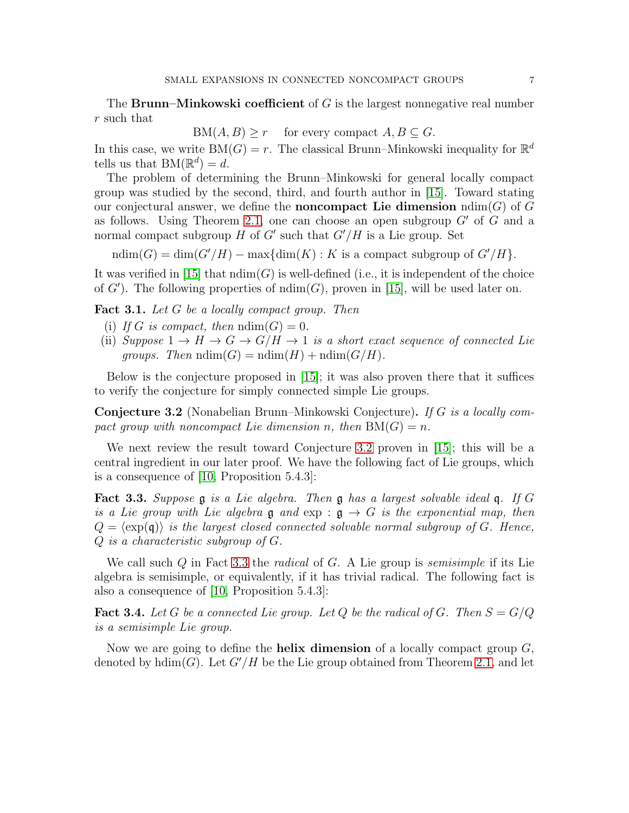The **Brunn–Minkowski coefficient** of  $G$  is the largest nonnegative real number r such that

 $BM(A, B) \geq r$  for every compact  $A, B \subseteq G$ .

In this case, we write  $BM(G) = r$ . The classical Brunn–Minkowski inequality for  $\mathbb{R}^d$ tells us that  $BM(\mathbb{R}^d) = d$ .

The problem of determining the Brunn–Minkowski for general locally compact group was studied by the second, third, and fourth author in [\[15\]](#page-24-2). Toward stating our conjectural answer, we define the **noncompact** Lie dimension  $\text{ndim}(G)$  of G as follows. Using Theorem [2.1,](#page-4-0) one can choose an open subgroup  $G'$  of  $G$  and a normal compact subgroup  $H$  of  $G'$  such that  $G'/H$  is a Lie group. Set

ndim(G) = dim(G'/H) – max{dim(K) : K is a compact subgroup of  $G'/H$ }.

It was verified in [\[15\]](#page-24-2) that  $\text{ndim}(G)$  is well-defined (i.e., it is independent of the choice of  $G'$ ). The following properties of  $\text{ndim}(G)$ , proven in [\[15\]](#page-24-2), will be used later on.

<span id="page-6-2"></span>Fact 3.1. Let G be a locally compact group. Then

- (i) If G is compact, then  $ndim(G) = 0$ .
- (ii) Suppose  $1 \rightarrow H \rightarrow G \rightarrow G/H \rightarrow 1$  is a short exact sequence of connected Lie groups. Then  $ndim(G) = ndim(H) + ndim(G/H)$ .

Below is the conjecture proposed in [\[15\]](#page-24-2); it was also proven there that it suffices to verify the conjecture for simply connected simple Lie groups.

<span id="page-6-0"></span>Conjecture 3.2 (Nonabelian Brunn–Minkowski Conjecture). If G is a locally compact group with noncompact Lie dimension n, then  $BM(G) = n$ .

We next review the result toward Conjecture [3.2](#page-6-0) proven in [\[15\]](#page-24-2); this will be a central ingredient in our later proof. We have the following fact of Lie groups, which is a consequence of [\[10,](#page-23-10) Proposition 5.4.3]:

<span id="page-6-1"></span>Fact 3.3. Suppose g is a Lie algebra. Then g has a largest solvable ideal q. If G is a Lie group with Lie algebra  $\mathfrak g$  and  $\exp : \mathfrak g \to G$  is the exponential map, then  $Q = \langle \exp(\mathfrak{q}) \rangle$  is the largest closed connected solvable normal subgroup of G. Hence, Q is a characteristic subgroup of G.

We call such Q in Fact [3.3](#page-6-1) the *radical* of G. A Lie group is *semisimple* if its Lie algebra is semisimple, or equivalently, if it has trivial radical. The following fact is also a consequence of [\[10,](#page-23-10) Proposition 5.4.3]:

**Fact 3.4.** Let G be a connected Lie group. Let Q be the radical of G. Then  $S = G/Q$ is a semisimple Lie group.

Now we are going to define the **helix dimension** of a locally compact group  $G$ , denoted by  $hdim(G)$ . Let  $G'/H$  be the Lie group obtained from Theorem [2.1,](#page-4-0) and let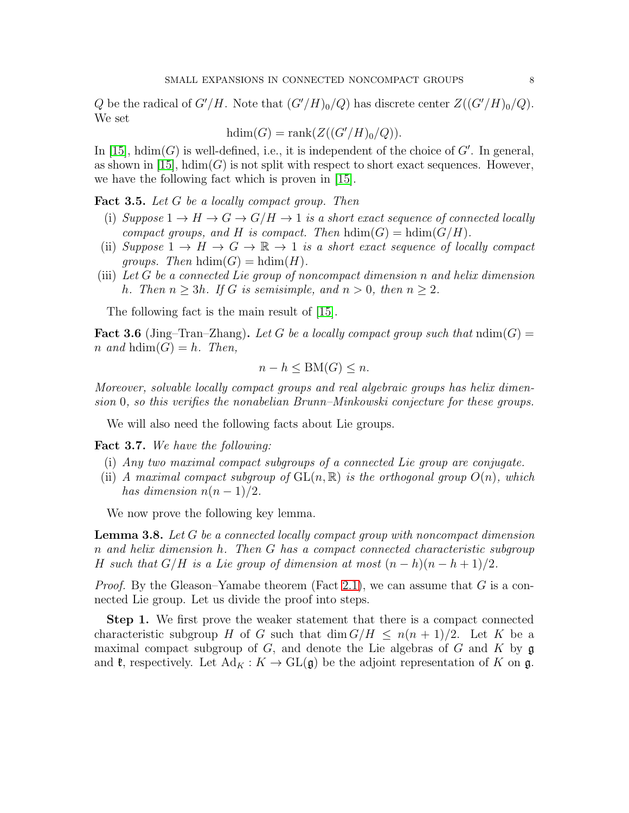Q be the radical of  $G'/H$ . Note that  $(G'/H)_0/Q$  has discrete center  $Z((G'/H)_0/Q)$ . We set

$$
hdim(G) = rank(Z((G'/H)_0/Q)).
$$

In  $[15]$ ,  $hdim(G)$  is well-defined, i.e., it is independent of the choice of  $G'$ . In general, as shown in  $(15)$ , hdim(G) is not split with respect to short exact sequences. However, we have the following fact which is proven in [\[15\]](#page-24-2).

<span id="page-7-3"></span>Fact 3.5. Let G be a locally compact group. Then

- (i) Suppose  $1 \rightarrow H \rightarrow G \rightarrow G/H \rightarrow 1$  is a short exact sequence of connected locally compact groups, and H is compact. Then  $hdim(G) = hdim(G/H)$ .
- (ii) Suppose  $1 \to H \to G \to \mathbb{R} \to 1$  is a short exact sequence of locally compact *groups.* Then  $hdim(G) = hdim(H)$ .
- (iii) Let G be a connected Lie group of noncompact dimension n and helix dimension h. Then  $n > 3h$ . If G is semisimple, and  $n > 0$ , then  $n \geq 2$ .

The following fact is the main result of [\[15\]](#page-24-2).

<span id="page-7-1"></span>**Fact 3.6** (Jing–Tran–Zhang). Let G be a locally compact group such that  $\text{ndim}(G)$  = n and  $hdim(G) = h$ . Then,

$$
n - h \leq \mathcal{BM}(G) \leq n.
$$

Moreover, solvable locally compact groups and real algebraic groups has helix dimension 0, so this verifies the nonabelian Brunn–Minkowski conjecture for these groups.

We will also need the following facts about Lie groups.

<span id="page-7-0"></span>Fact 3.7. We have the following:

- (i) Any two maximal compact subgroups of a connected Lie group are conjugate.
- (ii) A maximal compact subgroup of  $GL(n, \mathbb{R})$  is the orthogonal group  $O(n)$ , which has dimension  $n(n-1)/2$ .

We now prove the following key lemma.

<span id="page-7-2"></span>**Lemma 3.8.** Let G be a connected locally compact group with noncompact dimension n and helix dimension h. Then G has a compact connected characteristic subgroup H such that  $G/H$  is a Lie group of dimension at most  $(n-h)(n-h+1)/2$ .

*Proof.* By the Gleason–Yamabe theorem (Fact [2.1\)](#page-4-0), we can assume that G is a connected Lie group. Let us divide the proof into steps.

Step 1. We first prove the weaker statement that there is a compact connected characteristic subgroup H of G such that  $\dim G/H \leq n(n+1)/2$ . Let K be a maximal compact subgroup of  $G$ , and denote the Lie algebras of  $G$  and  $K$  by  $\mathfrak g$ and  $\mathfrak{k}$ , respectively. Let  $\text{Ad}_K : K \to \text{GL}(\mathfrak{g})$  be the adjoint representation of K on  $\mathfrak{g}$ .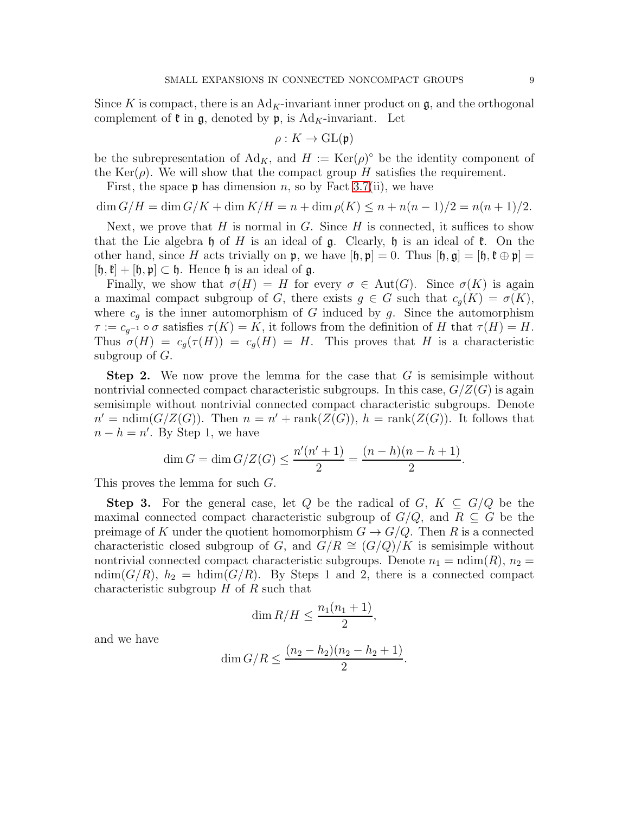Since K is compact, there is an  $Ad_K$ -invariant inner product on  $\mathfrak{g}$ , and the orthogonal complement of  $\mathfrak k$  in  $\mathfrak g$ , denoted by  $\mathfrak p$ , is Ad<sub>K</sub>-invariant. Let

$$
\rho: K \to \mathrm{GL}(\mathfrak{p})
$$

be the subrepresentation of  $\text{Ad}_K$ , and  $H := \text{Ker}(\rho)^\circ$  be the identity component of the Ker( $\rho$ ). We will show that the compact group H satisfies the requirement.

First, the space  $\mathfrak p$  has dimension n, so by Fact [3.7\(](#page-7-0)ii), we have

 $\dim G/H = \dim G/K + \dim K/H = n + \dim \rho(K) \leq n + n(n-1)/2 = n(n+1)/2.$ 

Next, we prove that  $H$  is normal in  $G$ . Since  $H$  is connected, it suffices to show that the Lie algebra h of H is an ideal of  $\mathfrak g$ . Clearly, h is an ideal of  $\mathfrak k$ . On the other hand, since H acts trivially on p, we have  $[\mathfrak{h}, \mathfrak{p}] = 0$ . Thus  $[\mathfrak{h}, \mathfrak{g}] = [\mathfrak{h}, \mathfrak{k} \oplus \mathfrak{p}] =$  $[\mathfrak{h},\mathfrak{k}] + [\mathfrak{h},\mathfrak{p}] \subset \mathfrak{h}$ . Hence  $\mathfrak{h}$  is an ideal of  $\mathfrak{g}$ .

Finally, we show that  $\sigma(H) = H$  for every  $\sigma \in Aut(G)$ . Since  $\sigma(K)$  is again a maximal compact subgroup of G, there exists  $g \in G$  such that  $c_q(K) = \sigma(K)$ , where  $c_g$  is the inner automorphism of G induced by g. Since the automorphism  $\tau := c_{g^{-1}} \circ \sigma$  satisfies  $\tau(K) = K$ , it follows from the definition of H that  $\tau(H) = H$ . Thus  $\sigma(H) = c_q(\tau(H)) = c_q(H) = H$ . This proves that H is a characteristic subgroup of  $G$ .

**Step 2.** We now prove the lemma for the case that  $G$  is semisimple without nontrivial connected compact characteristic subgroups. In this case,  $G/Z(G)$  is again semisimple without nontrivial connected compact characteristic subgroups. Denote  $n' = \text{ndim}(G/Z(G))$ . Then  $n = n' + \text{rank}(Z(G))$ ,  $h = \text{rank}(Z(G))$ . It follows that  $n - h = n'$ . By Step 1, we have

$$
\dim G = \dim G/Z(G) \le \frac{n'(n'+1)}{2} = \frac{(n-h)(n-h+1)}{2}.
$$

This proves the lemma for such G.

**Step 3.** For the general case, let Q be the radical of  $G, K \subseteq G/Q$  be the maximal connected compact characteristic subgroup of  $G/Q$ , and  $R \subseteq G$  be the preimage of K under the quotient homomorphism  $G \to G/Q$ . Then R is a connected characteristic closed subgroup of G, and  $G/R \cong (G/Q)/K$  is semisimple without nontrivial connected compact characteristic subgroups. Denote  $n_1 = \text{ndim}(R)$ ,  $n_2 =$ ndim( $G/R$ ),  $h_2 = \text{hdim}(G/R)$ . By Steps 1 and 2, there is a connected compact characteristic subgroup  $H$  of  $R$  such that

$$
\dim R/H \le \frac{n_1(n_1+1)}{2},
$$

and we have

$$
\dim G/R \le \frac{(n_2 - h_2)(n_2 - h_2 + 1)}{2}.
$$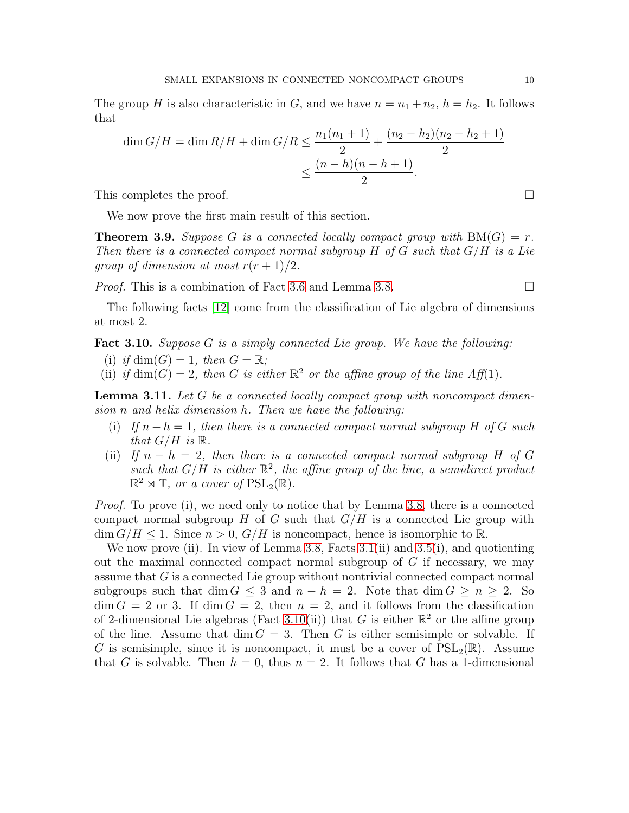The group H is also characteristic in G, and we have  $n = n_1 + n_2$ ,  $h = h_2$ . It follows that

$$
\dim G/H = \dim R/H + \dim G/R \le \frac{n_1(n_1+1)}{2} + \frac{(n_2 - h_2)(n_2 - h_2 + 1)}{2}
$$

$$
\le \frac{(n-h)(n-h+1)}{2}.
$$

This completes the proof.

We now prove the first main result of this section.

<span id="page-9-2"></span>**Theorem 3.9.** Suppose G is a connected locally compact group with  $BM(G) = r$ . Then there is a connected compact normal subgroup  $H$  of  $G$  such that  $G/H$  is a Lie group of dimension at most  $r(r+1)/2$ .

*Proof.* This is a combination of Fact [3.6](#page-7-1) and Lemma [3.8.](#page-7-2)

The following facts [\[12\]](#page-23-11) come from the classification of Lie algebra of dimensions at most 2.

<span id="page-9-0"></span>**Fact 3.10.** Suppose G is a simply connected Lie group. We have the following:

- (i) if  $\dim(G) = 1$ , then  $G = \mathbb{R}$ ;
- (ii) if  $\dim(G) = 2$ , then G is either  $\mathbb{R}^2$  or the affine group of the line Aff(1).

<span id="page-9-1"></span>**Lemma 3.11.** Let  $G$  be a connected locally compact group with noncompact dimension n and helix dimension h. Then we have the following:

- (i) If  $n h = 1$ , then there is a connected compact normal subgroup H of G such that  $G/H$  is  $\mathbb{R}$ .
- (ii) If  $n h = 2$ , then there is a connected compact normal subgroup H of G such that  $G/H$  is either  $\mathbb{R}^2$ , the affine group of the line, a semidirect product  $\mathbb{R}^2 \rtimes \mathbb{T}$ , or a cover of  $\text{PSL}_2(\mathbb{R})$ .

Proof. To prove (i), we need only to notice that by Lemma [3.8,](#page-7-2) there is a connected compact normal subgroup H of G such that  $G/H$  is a connected Lie group with  $\dim G/H \leq 1$ . Since  $n > 0$ ,  $G/H$  is noncompact, hence is isomorphic to R.

We now prove (ii). In view of Lemma [3.8,](#page-7-2) Facts [3.1\(](#page-6-2)ii) and [3.5\(](#page-7-3)i), and quotienting out the maximal connected compact normal subgroup of  $G$  if necessary, we may assume that G is a connected Lie group without nontrivial connected compact normal subgroups such that dim  $G \leq 3$  and  $n - h = 2$ . Note that dim  $G \geq n \geq 2$ . So  $\dim G = 2$  or 3. If  $\dim G = 2$ , then  $n = 2$ , and it follows from the classification of 2-dimensional Lie algebras (Fact [3.10\(](#page-9-0)ii)) that G is either  $\mathbb{R}^2$  or the affine group of the line. Assume that  $\dim G = 3$ . Then G is either semisimple or solvable. If G is semisimple, since it is noncompact, it must be a cover of  $PSL_2(\mathbb{R})$ . Assume that G is solvable. Then  $h = 0$ , thus  $n = 2$ . It follows that G has a 1-dimensional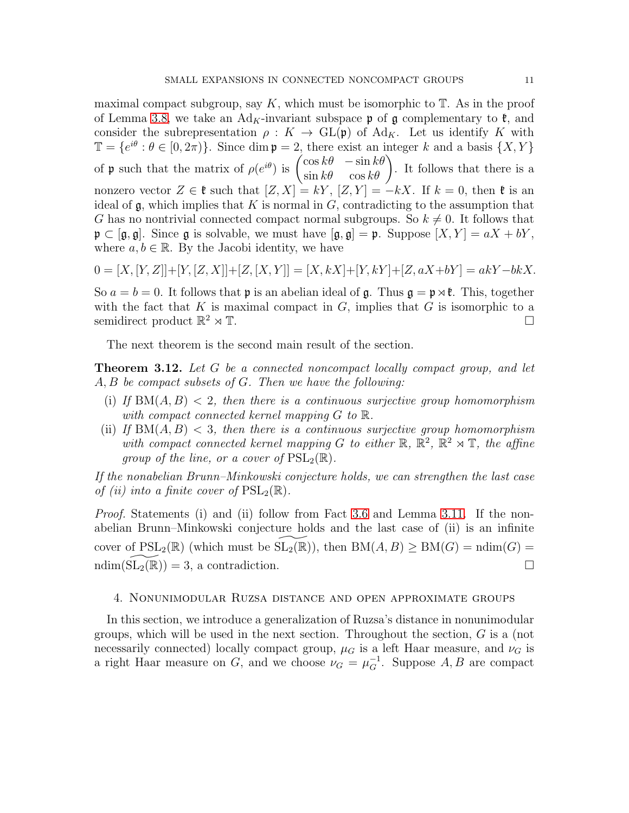maximal compact subgroup, say  $K$ , which must be isomorphic to  $\mathbb{T}$ . As in the proof of Lemma [3.8,](#page-7-2) we take an Ad<sub>K</sub>-invariant subspace  $\mathfrak p$  of g complementary to  $\mathfrak k$ , and consider the subrepresentation  $\rho: K \to GL(\mathfrak{p})$  of Ad<sub>K</sub>. Let us identify K with  $\mathbb{T} = \{e^{i\theta} : \theta \in [0, 2\pi)\}\.$  Since dim  $\mathfrak{p} = 2$ , there exist an integer k and a basis  $\{X, Y\}$ of **p** such that the matrix of  $\rho(e^{i\theta})$  is  $\begin{pmatrix} \cos k\theta & -\sin k\theta \\ \sin k\theta & \cos k\theta \end{pmatrix}$ . It follows that there is a nonzero vector  $Z \in \mathfrak{k}$  such that  $[Z, X] = kY$ ,  $[Z, Y] = -kX$ . If  $k = 0$ , then  $\mathfrak{k}$  is an ideal of  $\mathfrak g$ , which implies that K is normal in G, contradicting to the assumption that G has no nontrivial connected compact normal subgroups. So  $k \neq 0$ . It follows that  $\mathfrak{p} \subset [\mathfrak{g}, \mathfrak{g}]$ . Since  $\mathfrak{g}$  is solvable, we must have  $[\mathfrak{g}, \mathfrak{g}] = \mathfrak{p}$ . Suppose  $[X, Y] = aX + bY$ , where  $a, b \in \mathbb{R}$ . By the Jacobi identity, we have

$$
0 = [X, [Y, Z]] + [Y, [Z, X]] + [Z, [X, Y]] = [X, kX] + [Y, kY] + [Z, aX + bY] = akY - bkX.
$$

So  $a = b = 0$ . It follows that **p** is an abelian ideal of **g**. Thus  $\mathbf{g} = \mathbf{p} \times \mathbf{f}$ . This, together with the fact that K is maximal compact in  $G$ , implies that  $G$  is isomorphic to a semidirect product  $\mathbb{R}^2 \rtimes \mathbb{T}$ .  $2 \times T$ .

The next theorem is the second main result of the section.

<span id="page-10-0"></span>**Theorem 3.12.** Let G be a connected noncompact locally compact group, and let A, B be compact subsets of G. Then we have the following:

- (i) If  $BM(A, B) < 2$ , then there is a continuous surjective group homomorphism with compact connected kernel mapping  $G$  to  $\mathbb{R}$ .
- (ii) If  $BM(A, B) < 3$ , then there is a continuous surjective group homomorphism with compact connected kernel mapping G to either  $\mathbb{R}$ ,  $\mathbb{R}^2$ ,  $\mathbb{R}^2 \rtimes \mathbb{T}$ , the affine group of the line, or a cover of  $PSL_2(\mathbb{R})$ .

If the nonabelian Brunn–Minkowski conjecture holds, we can strengthen the last case of (ii) into a finite cover of  $PSL_2(\mathbb{R})$ .

Proof. Statements (i) and (ii) follow from Fact [3.6](#page-7-1) and Lemma [3.11.](#page-9-1) If the nonabelian Brunn–Minkowski conjecture holds and the last case of (ii) is an infinite cover of  $PSL_2(\mathbb{R})$  (which must be  $SL_2(\mathbb{R})$ ), then  $BM(A, B) \ge BM(G) = ndim(G) =$  $\text{ndim}(\text{SL}_2(\mathbb{R})) = 3$ , a contradiction.

# 4. Nonunimodular Ruzsa distance and open approximate groups

In this section, we introduce a generalization of Ruzsa's distance in nonunimodular groups, which will be used in the next section. Throughout the section,  $G$  is a (not necessarily connected) locally compact group,  $\mu_G$  is a left Haar measure, and  $\nu_G$  is a right Haar measure on G, and we choose  $\nu_G = \mu_G^{-1}$ . Suppose A, B are compact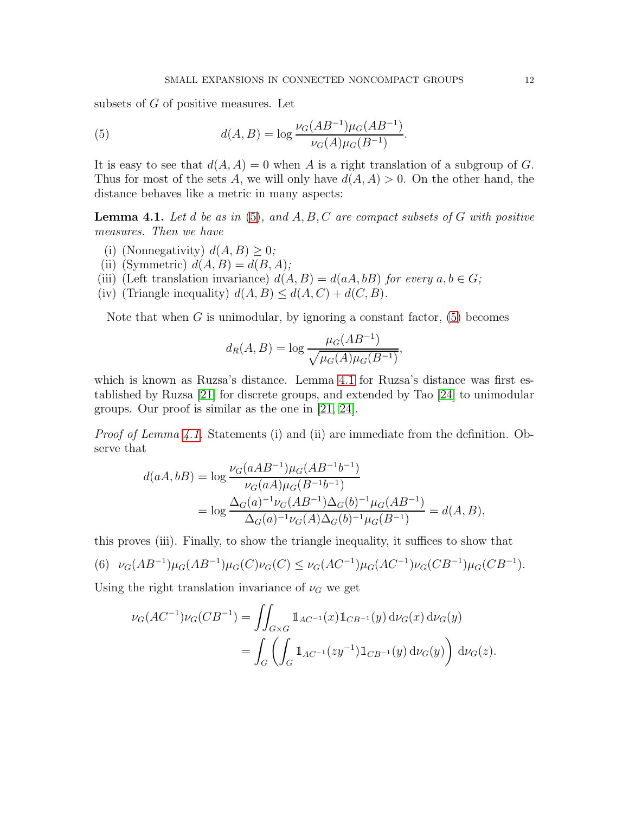subsets of G of positive measures. Let

<span id="page-11-0"></span>(5) 
$$
d(A, B) = \log \frac{\nu_G(AB^{-1})\mu_G(AB^{-1})}{\nu_G(A)\mu_G(B^{-1})}.
$$

It is easy to see that  $d(A, A) = 0$  when A is a right translation of a subgroup of G. Thus for most of the sets A, we will only have  $d(A, A) > 0$ . On the other hand, the distance behaves like a metric in many aspects:

<span id="page-11-1"></span>**Lemma 4.1.** Let d be as in [\(5\)](#page-11-0), and  $A, B, C$  are compact subsets of G with positive measures. Then we have

- (i) (Nonnegativity)  $d(A, B) \geq 0$ ;
- (ii) (Symmetric)  $d(A, B) = d(B, A);$
- (iii) (Left translation invariance)  $d(A, B) = d(aA, bB)$  for every  $a, b \in G$ ;
- (iv) (Triangle inequality)  $d(A, B) \leq d(A, C) + d(C, B)$ .

Note that when  $G$  is unimodular, by ignoring a constant factor,  $(5)$  becomes

$$
d_R(A, B) = \log \frac{\mu_G(AB^{-1})}{\sqrt{\mu_G(A)\mu_G(B^{-1})}},
$$

which is known as Ruzsa's distance. Lemma [4.1](#page-11-1) for Ruzsa's distance was first established by Ruzsa [\[21\]](#page-24-12) for discrete groups, and extended by Tao [\[24\]](#page-24-5) to unimodular groups. Our proof is similar as the one in [\[21,](#page-24-12) [24\]](#page-24-5).

Proof of Lemma [4.1.](#page-11-1) Statements (i) and (ii) are immediate from the definition. Observe that

$$
d(aA, bB) = \log \frac{\nu_G(aAB^{-1})\mu_G(AB^{-1}b^{-1})}{\nu_G(aA)\mu_G(B^{-1}b^{-1})}
$$
  
= 
$$
\log \frac{\Delta_G(a)^{-1}\nu_G(AB^{-1})\Delta_G(b)^{-1}\mu_G(AB^{-1})}{\Delta_G(a)^{-1}\nu_G(A)\Delta_G(b)^{-1}\mu_G(B^{-1})} = d(A, B),
$$

this proves (iii). Finally, to show the triangle inequality, it suffices to show that

<span id="page-11-2"></span>(6) 
$$
\nu_G(AB^{-1})\mu_G(AB^{-1})\mu_G(C)\nu_G(C) \leq \nu_G(AC^{-1})\mu_G(AC^{-1})\nu_G(CB^{-1})\mu_G(CB^{-1}).
$$

Using the right translation invariance of  $\nu_G$  we get

$$
\nu_G(AC^{-1})\nu_G(CB^{-1}) = \iint_{G\times G} \mathbb{1}_{AC^{-1}}(x) \mathbb{1}_{CB^{-1}}(y) d\nu_G(x) d\nu_G(y)
$$
  
= 
$$
\int_G \left( \int_G \mathbb{1}_{AC^{-1}}(zy^{-1}) \mathbb{1}_{CB^{-1}}(y) d\nu_G(y) \right) d\nu_G(z).
$$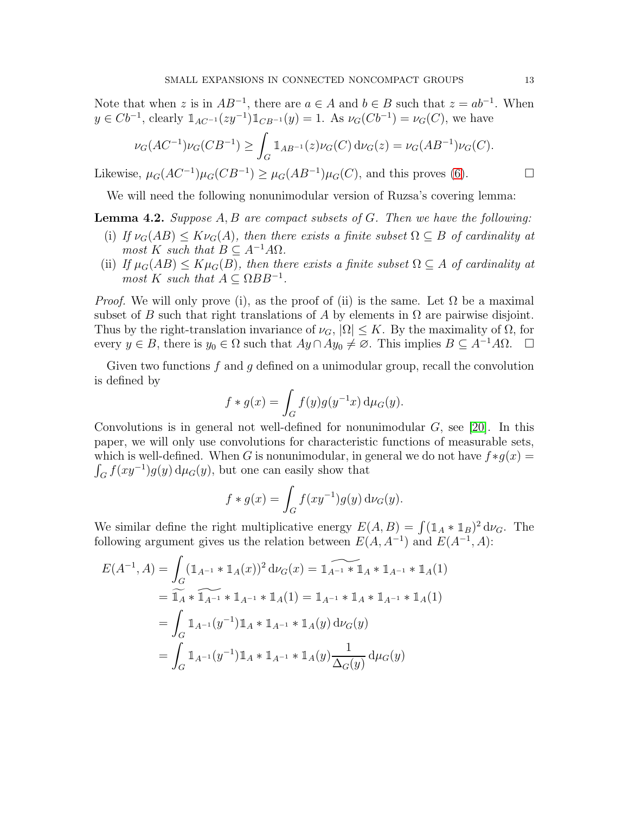Note that when z is in  $AB^{-1}$ , there are  $a \in A$  and  $b \in B$  such that  $z = ab^{-1}$ . When  $y \in Cb^{-1}$ , clearly  $\mathbb{1}_{AC^{-1}}(zy^{-1})\mathbb{1}_{CB^{-1}}(y) = 1$ . As  $\nu_G(Cb^{-1}) = \nu_G(C)$ , we have

$$
\nu_G(AC^{-1})\nu_G(CB^{-1}) \ge \int_G \mathbb{1}_{AB^{-1}}(z)\nu_G(C) d\nu_G(z) = \nu_G(AB^{-1})\nu_G(C).
$$

Likewise,  $\mu_G(AC^{-1})\mu_G(CB^{-1}) \geq \mu_G(AB^{-1})\mu_G(C)$ , and this proves [\(6\)](#page-11-2).

We will need the following nonunimodular version of Ruzsa's covering lemma:

<span id="page-12-0"></span>**Lemma 4.2.** Suppose  $A, B$  are compact subsets of  $G$ . Then we have the following:

- (i) If  $\nu_G(AB) \leq K\nu_G(A)$ , then there exists a finite subset  $\Omega \subseteq B$  of cardinality at most K such that  $B \subseteq A^{-1}A\Omega$ .
- (ii) If  $\mu_G(AB) \leq K\mu_G(B)$ , then there exists a finite subset  $\Omega \subseteq A$  of cardinality at most K such that  $A \subseteq \Omega BB^{-1}$ .

*Proof.* We will only prove (i), as the proof of (ii) is the same. Let  $\Omega$  be a maximal subset of B such that right translations of A by elements in  $\Omega$  are pairwise disjoint. Thus by the right-translation invariance of  $\nu_G$ ,  $|\Omega| \leq K$ . By the maximality of  $\Omega$ , for every  $y \in B$ , there is  $y_0 \in \Omega$  such that  $Ay \cap Ay_0 \neq \emptyset$ . This implies  $B \subseteq A^{-1}A\Omega$ .  $\Box$ 

Given two functions  $f$  and  $g$  defined on a unimodular group, recall the convolution is defined by

$$
f * g(x) = \int_G f(y)g(y^{-1}x) d\mu_G(y).
$$

Convolutions is in general not well-defined for nonunimodular  $G$ , see [\[20\]](#page-24-13). In this paper, we will only use convolutions for characteristic functions of measurable sets, which is well-defined. When G is nonunimodular, in general we do not have  $f*g(x) =$  $\int_G f(xy^{-1})g(y) d\mu_G(y)$ , but one can easily show that

$$
f * g(x) = \int_G f(xy^{-1})g(y) d\nu_G(y).
$$

We similar define the right multiplicative energy  $E(A, B) = \int (\mathbb{1}_A * \mathbb{1}_B)^2 d\nu_G$ . The following argument gives us the relation between  $E(A, A^{-1})$  and  $E(A^{-1}, A)$ :

$$
E(A^{-1}, A) = \int_G (\mathbb{1}_{A^{-1}} * \mathbb{1}_A(x))^2 d\nu_G(x) = \mathbb{1}_{A^{-1}} * \mathbb{1}_A * \mathbb{1}_{A^{-1}} * \mathbb{1}_A(1)
$$
  
=  $\widetilde{\mathbb{1}_A} * \widetilde{\mathbb{1}_{A^{-1}}} * \mathbb{1}_{A^{-1}} * \mathbb{1}_A(1) = \mathbb{1}_{A^{-1}} * \mathbb{1}_A * \mathbb{1}_{A^{-1}} * \mathbb{1}_A(1)$   
=  $\int_G \mathbb{1}_{A^{-1}}(y^{-1}) \mathbb{1}_A * \mathbb{1}_{A^{-1}} * \mathbb{1}_A(y) d\nu_G(y)$   
=  $\int_G \mathbb{1}_{A^{-1}}(y^{-1}) \mathbb{1}_A * \mathbb{1}_{A^{-1}} * \mathbb{1}_A(y) \frac{1}{\Delta_G(y)} d\mu_G(y)$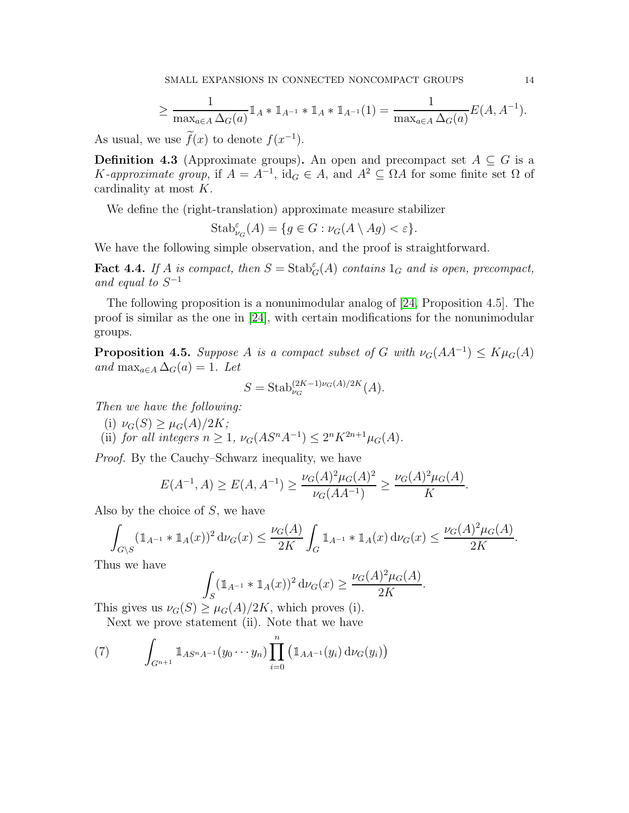$$
\geq \frac{1}{\max_{a \in A} \Delta_G(a)} \mathbb{1}_A * \mathbb{1}_{A^{-1}} * \mathbb{1}_A * \mathbb{1}_{A^{-1}}(1) = \frac{1}{\max_{a \in A} \Delta_G(a)} E(A, A^{-1}).
$$

As usual, we use  $f(x)$  to denote  $f(x^{-1})$ .

**Definition 4.3** (Approximate groups). An open and precompact set  $A \subseteq G$  is a K-approximate group, if  $A = A^{-1}$ , id<sub>G</sub>  $\in A$ , and  $A^2 \subseteq \Omega A$  for some finite set  $\Omega$  of cardinality at most K.

We define the (right-translation) approximate measure stabilizer

$$
Stab^{\varepsilon}_{\nu_G}(A) = \{ g \in G : \nu_G(A \setminus Ag) < \varepsilon \}.
$$

We have the following simple observation, and the proof is straightforward.

**Fact 4.4.** If A is compact, then  $S = \text{Stab}_G^{\varepsilon}(A)$  contains  $1_G$  and is open, precompact, and equal to  $S^{-1}$ 

The following proposition is a nonunimodular analog of [\[24,](#page-24-5) Proposition 4.5]. The proof is similar as the one in [\[24\]](#page-24-5), with certain modifications for the nonunimodular groups.

<span id="page-13-1"></span>**Proposition 4.5.** Suppose A is a compact subset of G with  $\nu_G(AA^{-1}) \leq K\mu_G(A)$ and max<sub>a∈A</sub>  $\Delta_G(a) = 1$ . Let

$$
S = \text{Stab}_{\nu_G}^{(2K-1)\nu_G(A)/2K}(A).
$$

Then we have the following:

- (i)  $\nu_G(S) \geq \mu_G(A)/2K;$
- (ii) for all integers  $n \geq 1$ ,  $\nu_G(AS^nA^{-1}) \leq 2^nK^{2n+1}\mu_G(A)$ .

Proof. By the Cauchy–Schwarz inequality, we have

$$
E(A^{-1}, A) \ge E(A, A^{-1}) \ge \frac{\nu_G(A)^2 \mu_G(A)^2}{\nu_G(AA^{-1})} \ge \frac{\nu_G(A)^2 \mu_G(A)}{K}.
$$

Also by the choice of S, we have

$$
\int_{G\backslash S} (\mathbb{1}_{A^{-1}} * \mathbb{1}_{A}(x))^2 d\nu_G(x) \le \frac{\nu_G(A)}{2K} \int_G \mathbb{1}_{A^{-1}} * \mathbb{1}_{A}(x) d\nu_G(x) \le \frac{\nu_G(A)^2 \mu_G(A)}{2K}.
$$

Thus we have

$$
\int_{S} (\mathbb{1}_{A^{-1}} * \mathbb{1}_{A}(x))^2 d\nu_G(x) \ge \frac{\nu_G(A)^2 \mu_G(A)}{2K}.
$$

This gives us  $\nu_G(S) \geq \mu_G(A)/2K$ , which proves (i).

Next we prove statement (ii). Note that we have

<span id="page-13-0"></span>(7) 
$$
\int_{G^{n+1}} \mathbb{1}_{AS^nA^{-1}}(y_0 \cdots y_n) \prod_{i=0}^n (\mathbb{1}_{AA^{-1}}(y_i) d\nu_G(y_i))
$$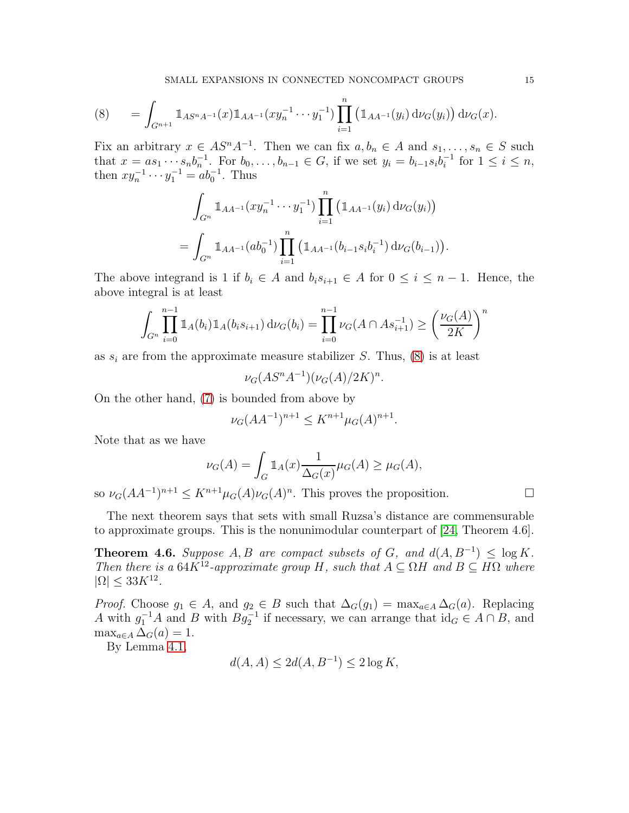<span id="page-14-0"></span>
$$
(8) \qquad = \int_{G^{n+1}} \mathbb{1}_{A S^{n} A^{-1}}(x) \mathbb{1}_{A A^{-1}}(x y_n^{-1} \cdots y_1^{-1}) \prod_{i=1}^n \left( \mathbb{1}_{A A^{-1}}(y_i) d\nu_G(y_i) \right) d\nu_G(x).
$$

Fix an arbitrary  $x \in AS^nA^{-1}$ . Then we can fix  $a, b_n \in A$  and  $s_1, \ldots, s_n \in S$  such that  $x = as_1 \cdots s_nb_n^{-1}$ . For  $b_0, \ldots, b_{n-1} \in G$ , if we set  $y_i = b_{i-1}s_ib_i^{-1}$  $i^{-1}$  for  $1 \leq i \leq n$ , then  $xy_n^{-1} \cdots y_1^{-1} = ab_0^{-1}$ . Thus

$$
\int_{G^n} \mathbb{1}_{AA^{-1}}(xy_n^{-1} \cdots y_1^{-1}) \prod_{i=1}^n (\mathbb{1}_{AA^{-1}}(y_i) d\nu_G(y_i))
$$
  
= 
$$
\int_{G^n} \mathbb{1}_{AA^{-1}}(ab_0^{-1}) \prod_{i=1}^n (\mathbb{1}_{AA^{-1}}(b_{i-1}s_ib_i^{-1}) d\nu_G(b_{i-1})).
$$

The above integrand is 1 if  $b_i \in A$  and  $b_i s_{i+1} \in A$  for  $0 \le i \le n-1$ . Hence, the above integral is at least

$$
\int_{G^n} \prod_{i=0}^{n-1} \mathbb{1}_A(b_i) \mathbb{1}_A(b_i s_{i+1}) d\nu_G(b_i) = \prod_{i=0}^{n-1} \nu_G(A \cap As_{i+1}^{-1}) \ge \left(\frac{\nu_G(A)}{2K}\right)^n
$$

as  $s_i$  are from the approximate measure stabilizer S. Thus, [\(8\)](#page-14-0) is at least

$$
\nu_G(AS^nA^{-1})(\nu_G(A)/2K)^n.
$$

On the other hand, [\(7\)](#page-13-0) is bounded from above by

$$
\nu_G(AA^{-1})^{n+1} \le K^{n+1} \mu_G(A)^{n+1}.
$$

Note that as we have

$$
\nu_G(A) = \int_G \mathbb{1}_A(x) \frac{1}{\Delta_G(x)} \mu_G(A) \ge \mu_G(A),
$$

so  $\nu_G(AA^{-1})^{n+1} \leq K^{n+1}\mu_G(A)\nu_G(A)^n$ . This proves the proposition.

The next theorem says that sets with small Ruzsa's distance are commensurable to approximate groups. This is the nonunimodular counterpart of [\[24,](#page-24-5) Theorem 4.6].

<span id="page-14-1"></span>**Theorem 4.6.** Suppose  $A, B$  are compact subsets of  $G$ , and  $d(A, B^{-1}) \leq \log K$ . Then there is a  $64K^{12}$ -approximate group H, such that  $A \subseteq \Omega H$  and  $B \subseteq H\Omega$  where  $|\Omega| \leq 33K^{12}$ .

*Proof.* Choose  $g_1 \in A$ , and  $g_2 \in B$  such that  $\Delta_G(g_1) = \max_{a \in A} \Delta_G(a)$ . Replacing A with  $g_1^{-1}A$  and B with  $Bg_2^{-1}$  if necessary, we can arrange that  $\mathrm{id}_G \in A \cap B$ , and  $\max_{a \in A} \Delta_G(a) = 1.$ 

By Lemma [4.1,](#page-11-1)

$$
d(A, A) \le 2d(A, B^{-1}) \le 2\log K,
$$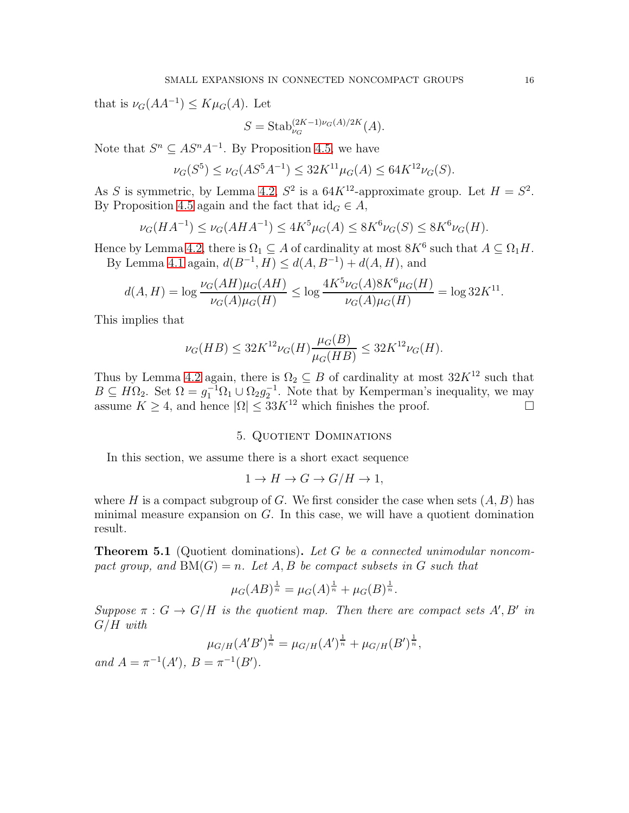that is  $\nu_G(AA^{-1}) \leq K\mu_G(A)$ . Let

$$
S = \text{Stab}_{\nu_G}^{(2K-1)\nu_G(A)/2K}(A).
$$

Note that  $S^n \subseteq AS^nA^{-1}$ . By Proposition [4.5,](#page-13-1) we have

$$
\nu_G(S^5) \le \nu_G(AS^5A^{-1}) \le 32K^{11}\mu_G(A) \le 64K^{12}\nu_G(S).
$$

As S is symmetric, by Lemma [4.2,](#page-12-0)  $S^2$  is a  $64K^{12}$ -approximate group. Let  $H = S^2$ . By Proposition [4.5](#page-13-1) again and the fact that  $id_G \in A$ ,

$$
\nu_G(HA^{-1}) \le \nu_G(AHA^{-1}) \le 4K^5\mu_G(A) \le 8K^6\nu_G(S) \le 8K^6\nu_G(H).
$$

Hence by Lemma [4.2,](#page-12-0) there is  $\Omega_1 \subseteq A$  of cardinality at most  $8K^6$  such that  $A \subseteq \Omega_1 H$ . By Lemma [4.1](#page-11-1) again,  $d(B^{-1}, H) \le d(A, B^{-1}) + d(A, H)$ , and

$$
d(A, H) = \log \frac{\nu_G(AH)\mu_G(AH)}{\nu_G(A)\mu_G(H)} \le \log \frac{4K^5\nu_G(A)8K^6\mu_G(H)}{\nu_G(A)\mu_G(H)} = \log 32K^{11}.
$$

This implies that

$$
\nu_G(HB) \le 32K^{12}\nu_G(H)\frac{\mu_G(B)}{\mu_G(HB)} \le 32K^{12}\nu_G(H).
$$

Thus by Lemma [4.2](#page-12-0) again, there is  $\Omega_2 \subseteq B$  of cardinality at most  $32K^{12}$  such that  $B \subseteq H\Omega_2$ . Set  $\Omega = g_1^{-1}\Omega_1 \cup \Omega_2 g_2^{-1}$ . Note that by Kemperman's inequality, we may assume  $K \geq 4$ , and hence  $|\Omega| \leq 33K^{12}$  which finishes the proof.

# 5. QUOTIENT DOMINATIONS

In this section, we assume there is a short exact sequence

$$
1 \to H \to G \to G/H \to 1,
$$

where H is a compact subgroup of G. We first consider the case when sets  $(A, B)$  has minimal measure expansion on  $G$ . In this case, we will have a quotient domination result.

<span id="page-15-0"></span>**Theorem 5.1** (Quotient dominations). Let G be a connected unimodular noncompact group, and  $BM(G) = n$ . Let A, B be compact subsets in G such that

$$
\mu_G(AB)^{\frac{1}{n}} = \mu_G(A)^{\frac{1}{n}} + \mu_G(B)^{\frac{1}{n}}.
$$

Suppose  $\pi: G \to G/H$  is the quotient map. Then there are compact sets A', B' in  $G/H$  with

$$
\mu_{G/H}(A'B')^{\frac{1}{n}} = \mu_{G/H}(A')^{\frac{1}{n}} + \mu_{G/H}(B')^{\frac{1}{n}},
$$

and  $A = \pi^{-1}(A'), B = \pi^{-1}(B').$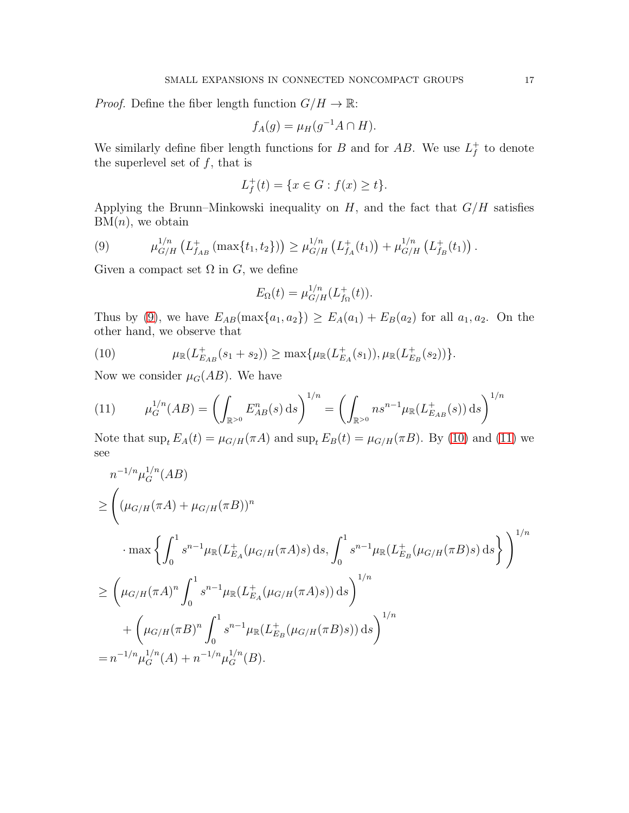*Proof.* Define the fiber length function  $G/H \to \mathbb{R}$ :

$$
f_A(g) = \mu_H(g^{-1}A \cap H).
$$

We similarly define fiber length functions for B and for AB. We use  $L_f^+$  $f$  to denote the superlevel set of  $f$ , that is

$$
L_f^+(t) = \{ x \in G : f(x) \ge t \}.
$$

Applying the Brunn–Minkowski inequality on  $H$ , and the fact that  $G/H$  satisfies  $BM(n)$ , we obtain

<span id="page-16-0"></span>(9) 
$$
\mu_{G/H}^{1/n} (L_{f_{AB}}^+ (\max\{t_1,t_2\})) \geq \mu_{G/H}^{1/n} (L_{f_A}^+(t_1)) + \mu_{G/H}^{1/n} (L_{f_B}^+(t_1)).
$$

Given a compact set  $\Omega$  in  $G$ , we define

$$
E_{\Omega}(t) = \mu_{G/H}^{1/n}(L_{f_{\Omega}}^{+}(t)).
$$

Thus by [\(9\)](#page-16-0), we have  $E_{AB}(\max\{a_1, a_2\}) \ge E_A(a_1) + E_B(a_2)$  for all  $a_1, a_2$ . On the other hand, we observe that

<span id="page-16-1"></span>(10) 
$$
\mu_{\mathbb{R}}(L_{E_{AB}}^{+}(s_1+s_2)) \geq \max\{\mu_{\mathbb{R}}(L_{E_{A}}^{+}(s_1)), \mu_{\mathbb{R}}(L_{E_{B}}^{+}(s_2))\}.
$$

Now we consider  $\mu_G(AB)$ . We have

<span id="page-16-2"></span>(11) 
$$
\mu_G^{1/n}(AB) = \left(\int_{\mathbb{R}^{>0}} E_{AB}^n(s) \, ds\right)^{1/n} = \left(\int_{\mathbb{R}^{>0}} n s^{n-1} \mu_{\mathbb{R}}(L_{E_{AB}}^+(s)) \, ds\right)^{1/n}
$$

Note that  $\sup_t E_A(t) = \mu_{G/H}(\pi A)$  and  $\sup_t E_B(t) = \mu_{G/H}(\pi B)$ . By [\(10\)](#page-16-1) and [\(11\)](#page-16-2) we see

$$
n^{-1/n} \mu_G^{1/n}(AB)
$$
  
\n
$$
\geq \left( (\mu_{G/H}(\pi A) + \mu_{G/H}(\pi B))^n
$$
  
\n
$$
\cdot \max \left\{ \int_0^1 s^{n-1} \mu_{\mathbb{R}}(L_{E_A}^+(\mu_{G/H}(\pi A)s) ds, \int_0^1 s^{n-1} \mu_{\mathbb{R}}(L_{E_B}^+(\mu_{G/H}(\pi B)s) ds) \right\} \right)^{1/n}
$$
  
\n
$$
\geq \left( \mu_{G/H}(\pi A)^n \int_0^1 s^{n-1} \mu_{\mathbb{R}}(L_{E_A}^+(\mu_{G/H}(\pi A)s)) ds \right)^{1/n}
$$
  
\n
$$
+ \left( \mu_{G/H}(\pi B)^n \int_0^1 s^{n-1} \mu_{\mathbb{R}}(L_{E_B}^+(\mu_{G/H}(\pi B)s)) ds \right)^{1/n}
$$
  
\n
$$
= n^{-1/n} \mu_G^{1/n}(A) + n^{-1/n} \mu_G^{1/n}(B).
$$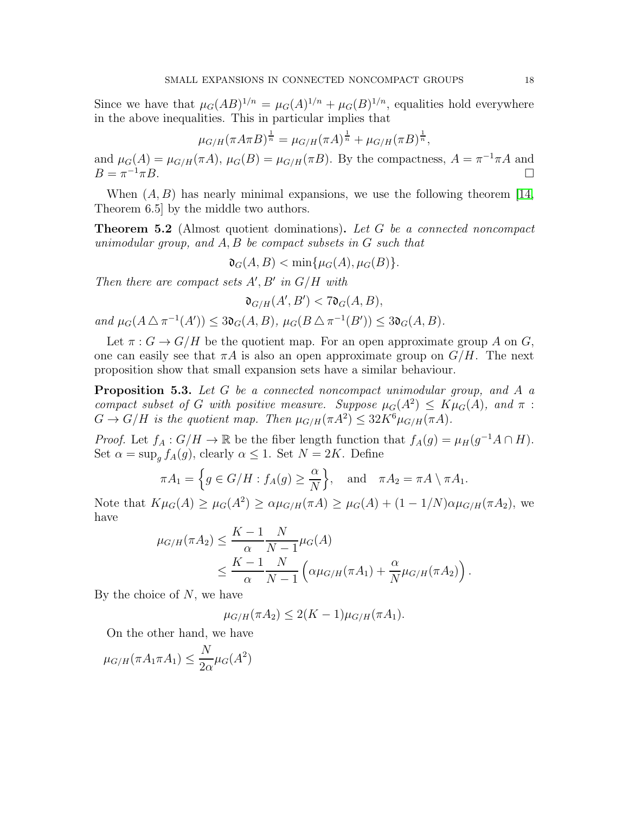Since we have that  $\mu_G(AB)^{1/n} = \mu_G(A)^{1/n} + \mu_G(B)^{1/n}$ , equalities hold everywhere in the above inequalities. This in particular implies that

$$
\mu_{G/H}(\pi A \pi B)^{\frac{1}{n}} = \mu_{G/H}(\pi A)^{\frac{1}{n}} + \mu_{G/H}(\pi B)^{\frac{1}{n}},
$$

and  $\mu_G(A) = \mu_{G/H}(\pi A)$ ,  $\mu_G(B) = \mu_{G/H}(\pi B)$ . By the compactness,  $A = \pi^{-1}\pi A$  and  $B = \pi^{-1} \pi B$ .  $\neg^1 \pi B$ .

When  $(A, B)$  has nearly minimal expansions, we use the following theorem [\[14,](#page-24-10) Theorem 6.5] by the middle two authors.

<span id="page-17-1"></span>**Theorem 5.2** (Almost quotient dominations). Let G be a connected noncompact unimodular group, and A, B be compact subsets in G such that

$$
\mathfrak{d}_G(A, B) < \min\{\mu_G(A), \mu_G(B)\}.
$$

Then there are compact sets  $A', B'$  in  $G/H$  with

 $\mathfrak{d}_{G/H}(A',B') < 7\mathfrak{d}_G(A,B),$ 

and  $\mu_G(A \triangle \pi^{-1}(A')) \leq 3\mathfrak{d}_G(A, B)$ ,  $\mu_G(B \triangle \pi^{-1}(B')) \leq 3\mathfrak{d}_G(A, B)$ .

Let  $\pi: G \to G/H$  be the quotient map. For an open approximate group A on G, one can easily see that  $\pi A$  is also an open approximate group on  $G/H$ . The next proposition show that small expansion sets have a similar behaviour.

<span id="page-17-0"></span>**Proposition 5.3.** Let  $G$  be a connected noncompact unimodular group, and  $A$  a compact subset of G with positive measure. Suppose  $\mu_G(A^2) \leq K\mu_G(A)$ , and  $\pi$ :  $G \to G/H$  is the quotient map. Then  $\mu_{G/H}(\pi A^2) \leq 32K^6\mu_{G/H}(\pi A)$ .

*Proof.* Let  $f_A: G/H \to \mathbb{R}$  be the fiber length function that  $f_A(g) = \mu_H(g^{-1}A \cap H)$ . Set  $\alpha = \sup_{q} f_A(q)$ , clearly  $\alpha \leq 1$ . Set  $N = 2K$ . Define

$$
\pi A_1 = \left\{ g \in G/H : f_A(g) \ge \frac{\alpha}{N} \right\}, \quad \text{and} \quad \pi A_2 = \pi A \setminus \pi A_1.
$$

Note that  $K\mu_G(A) \geq \mu_G(A^2) \geq \alpha \mu_{G/H}(\pi A) \geq \mu_G(A) + (1 - 1/N)\alpha \mu_{G/H}(\pi A_2)$ , we have

$$
\mu_{G/H}(\pi A_2) \le \frac{K-1}{\alpha} \frac{N}{N-1} \mu_G(A) \n\le \frac{K-1}{\alpha} \frac{N}{N-1} \left( \alpha \mu_{G/H}(\pi A_1) + \frac{\alpha}{N} \mu_{G/H}(\pi A_2) \right).
$$

By the choice of  $N$ , we have

 $\mu_{G/H}(\pi A_2) \leq 2(K-1)\mu_{G/H}(\pi A_1).$ 

On the other hand, we have

$$
\mu_{G/H}(\pi A_1 \pi A_1) \le \frac{N}{2\alpha} \mu_G(A^2)
$$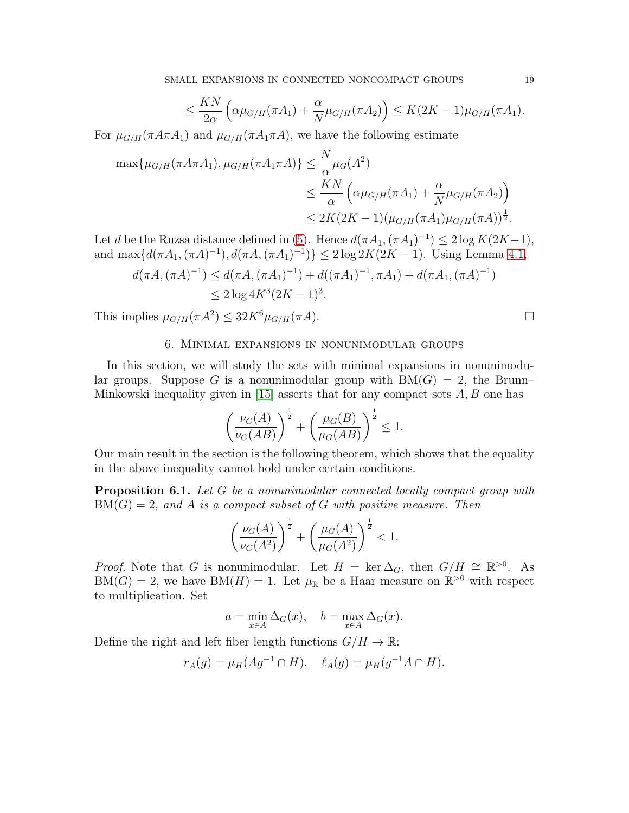$$
\leq \frac{KN}{2\alpha} \left( \alpha \mu_{G/H}(\pi A_1) + \frac{\alpha}{N} \mu_{G/H}(\pi A_2) \right) \leq K(2K-1) \mu_{G/H}(\pi A_1).
$$

For  $\mu_{G/H}(\pi A \pi A_1)$  and  $\mu_{G/H}(\pi A_1 \pi A)$ , we have the following estimate

$$
\max{\mu_{G/H}(\pi A \pi A_1), \mu_{G/H}(\pi A_1 \pi A)} \leq \frac{N}{\alpha} \mu_G(A^2)
$$
  

$$
\leq \frac{KN}{\alpha} \left( \alpha \mu_{G/H}(\pi A_1) + \frac{\alpha}{N} \mu_{G/H}(\pi A_2) \right)
$$
  

$$
\leq 2K(2K-1) (\mu_{G/H}(\pi A_1) \mu_{G/H}(\pi A))^{\frac{1}{2}}.
$$

Let d be the Ruzsa distance defined in [\(5\)](#page-11-0). Hence  $d(\pi A_1, (\pi A_1)^{-1}) \leq 2 \log K(2K-1)$ , and  $\max\{d(\pi A_1, (\pi A)^{-1}), d(\pi A, (\pi A_1)^{-1})\} \leq 2 \log 2K(2K - 1)$ . Using Lemma [4.1,](#page-11-1)

$$
d(\pi A, (\pi A)^{-1}) \le d(\pi A, (\pi A_1)^{-1}) + d((\pi A_1)^{-1}, \pi A_1) + d(\pi A_1, (\pi A)^{-1})
$$
  
\n
$$
\le 2 \log 4K^3 (2K - 1)^3.
$$

This implies  $\mu_{G/H}(\pi A^2) \leq 32K^6\mu_{G/H}(\pi A)$ .

# 6. Minimal expansions in nonunimodular groups

In this section, we will study the sets with minimal expansions in nonunimodular groups. Suppose G is a nonunimodular group with  $BM(G) = 2$ , the Brunn– Minkowski inequality given in [\[15\]](#page-24-2) asserts that for any compact sets  $A, B$  one has

$$
\left(\frac{\nu_G(A)}{\nu_G(AB)}\right)^{\frac{1}{2}} + \left(\frac{\mu_G(B)}{\mu_G(AB)}\right)^{\frac{1}{2}} \le 1.
$$

Our main result in the section is the following theorem, which shows that the equality in the above inequality cannot hold under certain conditions.

<span id="page-18-0"></span>**Proposition 6.1.** Let G be a nonunimodular connected locally compact group with  $BM(G) = 2$ , and A is a compact subset of G with positive measure. Then

$$
\left(\frac{\nu_G(A)}{\nu_G(A^2)}\right)^{\frac{1}{2}} + \left(\frac{\mu_G(A)}{\mu_G(A^2)}\right)^{\frac{1}{2}} < 1.
$$

*Proof.* Note that G is nonunimodular. Let  $H = \ker \Delta_G$ , then  $G/H \cong \mathbb{R}^{>0}$ . As  $BM(G) = 2$ , we have  $BM(H) = 1$ . Let  $\mu_{\mathbb{R}}$  be a Haar measure on  $\mathbb{R}^{>0}$  with respect to multiplication. Set

$$
a = \min_{x \in A} \Delta_G(x), \quad b = \max_{x \in A} \Delta_G(x).
$$

Define the right and left fiber length functions  $G/H \to \mathbb{R}$ :

$$
r_A(g) = \mu_H(Ag^{-1} \cap H), \quad \ell_A(g) = \mu_H(g^{-1}A \cap H).
$$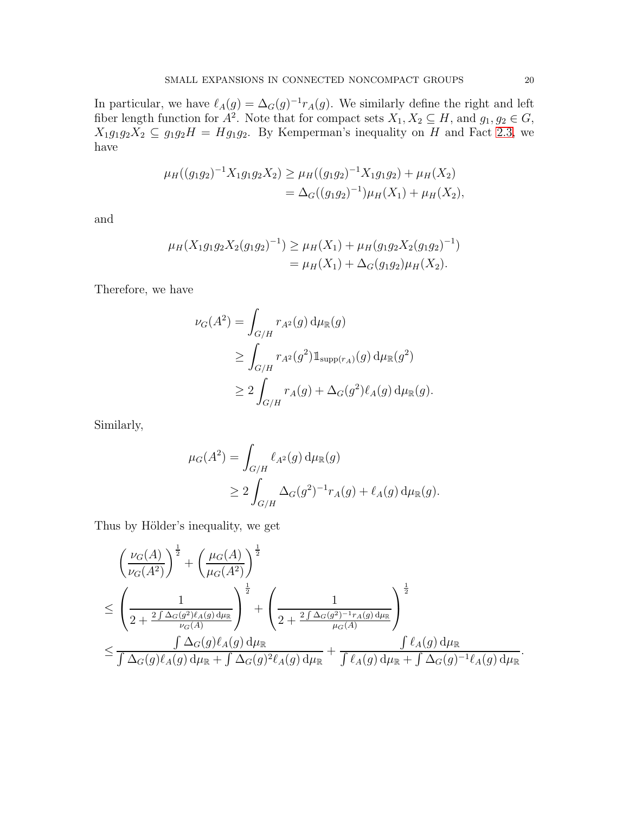In particular, we have  $\ell_A(g) = \Delta_G(g)^{-1} r_A(g)$ . We similarly define the right and left fiber length function for  $A^2$ . Note that for compact sets  $X_1, X_2 \subseteq H$ , and  $g_1, g_2 \in G$ ,  $X_1g_1g_2X_2 \subseteq g_1g_2H = Hg_1g_2$ . By Kemperman's inequality on H and Fact [2.3,](#page-5-0) we have

$$
\mu_H((g_1g_2)^{-1}X_1g_1g_2X_2) \ge \mu_H((g_1g_2)^{-1}X_1g_1g_2) + \mu_H(X_2)
$$
  
=  $\Delta_G((g_1g_2)^{-1})\mu_H(X_1) + \mu_H(X_2),$ 

and

$$
\mu_H(X_1g_1g_2X_2(g_1g_2)^{-1}) \ge \mu_H(X_1) + \mu_H(g_1g_2X_2(g_1g_2)^{-1})
$$
  
=  $\mu_H(X_1) + \Delta_G(g_1g_2)\mu_H(X_2)$ .

Therefore, we have

$$
\nu_G(A^2) = \int_{G/H} r_{A^2}(g) d\mu_{\mathbb{R}}(g)
$$
  
\n
$$
\geq \int_{G/H} r_{A^2}(g^2) \mathbb{1}_{\text{supp}(r_A)}(g) d\mu_{\mathbb{R}}(g^2)
$$
  
\n
$$
\geq 2 \int_{G/H} r_A(g) + \Delta_G(g^2) \ell_A(g) d\mu_{\mathbb{R}}(g).
$$

Similarly,

$$
\mu_G(A^2) = \int_{G/H} \ell_{A^2}(g) d\mu_{\mathbb{R}}(g)
$$
  
 
$$
\geq 2 \int_{G/H} \Delta_G(g^2)^{-1} r_A(g) + \ell_A(g) d\mu_{\mathbb{R}}(g).
$$

Thus by Hölder's inequality, we get

$$
\begin{split}\n&\left(\frac{\nu_G(A)}{\nu_G(A^2)}\right)^{\frac{1}{2}} + \left(\frac{\mu_G(A)}{\mu_G(A^2)}\right)^{\frac{1}{2}} \\
&\leq \left(\frac{1}{2 + \frac{2\int \Delta_G(g^2)\ell_A(g)\,d\mu_{\mathbb{R}}}{\nu_G(A)}}\right)^{\frac{1}{2}} + \left(\frac{1}{2 + \frac{2\int \Delta_G(g^2)^{-1}r_A(g)\,d\mu_{\mathbb{R}}}{\mu_G(A)}}\right)^{\frac{1}{2}} \\
&\leq \frac{\int \Delta_G(g)\ell_A(g)\,d\mu_{\mathbb{R}}}{\int \Delta_G(g)\ell_A(g)\,d\mu_{\mathbb{R}} + \int \Delta_G(g)^2\ell_A(g)\,d\mu_{\mathbb{R}} + \frac{\int \ell_A(g)\,d\mu_{\mathbb{R}}}{\int \ell_A(g)\,d\mu_{\mathbb{R}} + \int \Delta_G(g)^{-1}\ell_A(g)\,d\mu_{\mathbb{R}}}.\n\end{split}
$$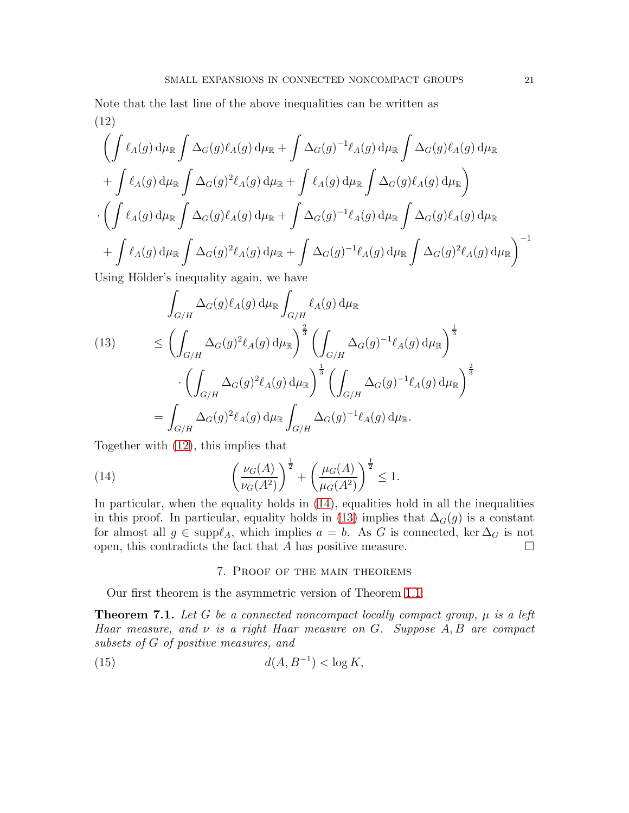# <span id="page-20-1"></span>Note that the last line of the above inequalities can be written as (12)

$$
\left(\int \ell_A(g) d\mu_{\mathbb{R}} \int \Delta_G(g) \ell_A(g) d\mu_{\mathbb{R}} + \int \Delta_G(g)^{-1} \ell_A(g) d\mu_{\mathbb{R}} \int \Delta_G(g) \ell_A(g) d\mu_{\mathbb{R}} + \int \ell_A(g) d\mu_{\mathbb{R}} \int \Delta_G(g) \ell_A(g) d\mu_{\mathbb{R}}\right)
$$
  
+ 
$$
\int \ell_A(g) d\mu_{\mathbb{R}} \int \Delta_G(g)^2 \ell_A(g) d\mu_{\mathbb{R}} + \int \ell_A(g) d\mu_{\mathbb{R}} \int \Delta_G(g) \ell_A(g) d\mu_{\mathbb{R}} \right)
$$
  
- 
$$
\left(\int \ell_A(g) d\mu_{\mathbb{R}} \int \Delta_G(g) \ell_A(g) d\mu_{\mathbb{R}} + \int \Delta_G(g)^{-1} \ell_A(g) d\mu_{\mathbb{R}} \int \Delta_G(g) \ell_A(g) d\mu_{\mathbb{R}} + \int \ell_A(g) d\mu_{\mathbb{R}} \int \Delta_G(g)^2 \ell_A(g) d\mu_{\mathbb{R}}\right)^{-1}
$$
  
Using Hölder's inequality again, we have

Using Hölder's inequality again, we have

<span id="page-20-3"></span>(13) 
$$
\int_{G/H} \Delta_G(g) \ell_A(g) d\mu_{\mathbb{R}} \int_{G/H} \ell_A(g) d\mu_{\mathbb{R}}
$$

$$
\leq \left( \int_{G/H} \Delta_G(g)^2 \ell_A(g) d\mu_{\mathbb{R}} \right)^{\frac{2}{3}} \left( \int_{G/H} \Delta_G(g)^{-1} \ell_A(g) d\mu_{\mathbb{R}} \right)^{\frac{1}{3}}
$$

$$
\cdot \left( \int_{G/H} \Delta_G(g)^2 \ell_A(g) d\mu_{\mathbb{R}} \right)^{\frac{1}{3}} \left( \int_{G/H} \Delta_G(g)^{-1} \ell_A(g) d\mu_{\mathbb{R}} \right)^{\frac{2}{3}}
$$

$$
= \int_{G/H} \Delta_G(g)^2 \ell_A(g) d\mu_{\mathbb{R}} \int_{G/H} \Delta_G(g)^{-1} \ell_A(g) d\mu_{\mathbb{R}}.
$$

Together with [\(12\)](#page-20-1), this implies that

(14) 
$$
\left(\frac{\nu_G(A)}{\nu_G(A^2)}\right)^{\frac{1}{2}} + \left(\frac{\mu_G(A)}{\mu_G(A^2)}\right)^{\frac{1}{2}} \le 1.
$$

In particular, when the equality holds in [\(14\)](#page-20-2), equalities hold in all the inequalities in this proof. In particular, equality holds in [\(13\)](#page-20-3) implies that  $\Delta_G(g)$  is a constant for almost all  $g \in \text{supp}\ell_A$ , which implies  $a = b$ . As G is connected, ker  $\Delta_G$  is not open, this contradicts the fact that A has positive measure.  $\Box$ 

## <span id="page-20-2"></span>7. Proof of the main theorems

Our first theorem is the asymmetric version of Theorem [1.1:](#page-1-0)

<span id="page-20-0"></span>**Theorem 7.1.** Let G be a connected noncompact locally compact group,  $\mu$  is a left Haar measure, and  $\nu$  is a right Haar measure on G. Suppose  $A, B$  are compact subsets of G of positive measures, and

$$
d(A, B^{-1}) < \log K,
$$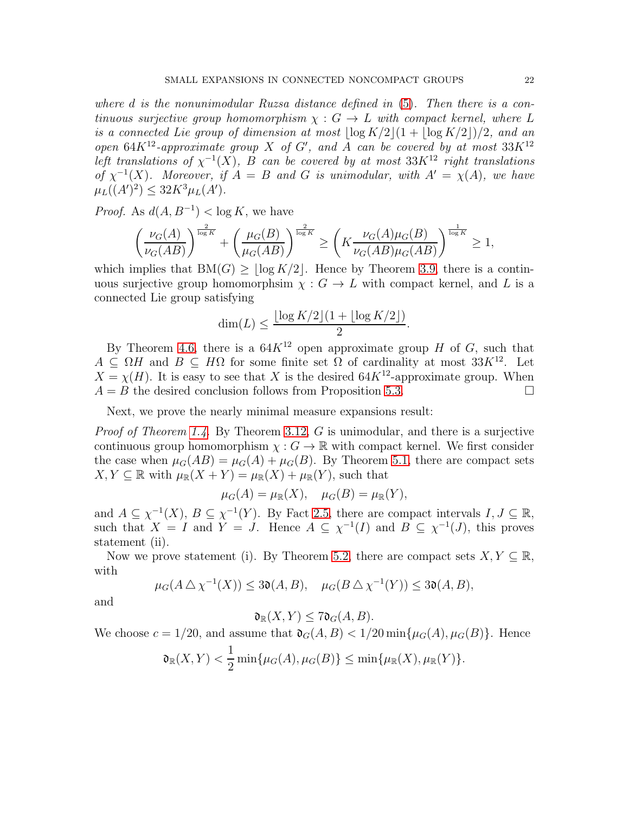where d is the nonunimodular Ruzsa distance defined in [\(5\)](#page-11-0). Then there is a continuous surjective group homomorphism  $\chi : G \to L$  with compact kernel, where L is a connected Lie group of dimension at most  $\lfloor \log K/2 \rfloor (1 + \lfloor \log K/2 \rfloor)/2$ , and an open  $64K^{12}$ -approximate group X of G', and A can be covered by at most  $33K^{12}$ left translations of  $\chi^{-1}(X)$ , B can be covered by at most 33K<sup>12</sup> right translations of  $\chi^{-1}(X)$ . Moreover, if  $A = B$  and G is unimodular, with  $A' = \chi(A)$ , we have  $\mu_L((A')^2) \leq 32K^3 \mu_L(A').$ 

*Proof.* As  $d(A, B^{-1}) < \log K$ , we have

$$
\left(\frac{\nu_G(A)}{\nu_G(AB)}\right)^{\frac{2}{\log K}} + \left(\frac{\mu_G(B)}{\mu_G(AB)}\right)^{\frac{2}{\log K}} \ge \left(K\frac{\nu_G(A)\mu_G(B)}{\nu_G(AB)\mu_G(AB)}\right)^{\frac{1}{\log K}} \ge 1,
$$

which implies that  $BM(G) \geq \lceil \log K/2 \rceil$ . Hence by Theorem [3.9,](#page-9-2) there is a continuous surjective group homomorphsim  $\chi : G \to L$  with compact kernel, and L is a connected Lie group satisfying

$$
\dim(L) \le \frac{\lfloor \log K/2 \rfloor (1 + \lfloor \log K/2 \rfloor)}{2}.
$$

By Theorem [4.6,](#page-14-1) there is a  $64K^{12}$  open approximate group H of G, such that  $A \subseteq \Omega H$  and  $B \subseteq H\Omega$  for some finite set  $\Omega$  of cardinality at most  $33K^{12}$ . Let  $X = \chi(H)$ . It is easy to see that X is the desired 64K<sup>12</sup>-approximate group. When  $A = B$  the desired conclusion follows from Proposition [5.3.](#page-17-0)

Next, we prove the nearly minimal measure expansions result:

*Proof of Theorem [1.4.](#page-2-0)* By Theorem [3.12,](#page-10-0) G is unimodular, and there is a surjective continuous group homomorphism  $\chi : G \to \mathbb{R}$  with compact kernel. We first consider the case when  $\mu_G(AB) = \mu_G(A) + \mu_G(B)$ . By Theorem [5.1,](#page-15-0) there are compact sets  $X, Y \subseteq \mathbb{R}$  with  $\mu_{\mathbb{R}}(X + Y) = \mu_{\mathbb{R}}(X) + \mu_{\mathbb{R}}(Y)$ , such that

$$
\mu_G(A) = \mu_{\mathbb{R}}(X), \quad \mu_G(B) = \mu_{\mathbb{R}}(Y),
$$

and  $A \subseteq \chi^{-1}(X)$ ,  $B \subseteq \chi^{-1}(Y)$ . By Fact [2.5,](#page-5-1) there are compact intervals  $I, J \subseteq \mathbb{R}$ , such that  $X = I$  and  $Y = J$ . Hence  $A \subseteq \chi^{-1}(I)$  and  $B \subseteq \chi^{-1}(J)$ , this proves statement (ii).

Now we prove statement (i). By Theorem [5.2,](#page-17-1) there are compact sets  $X, Y \subseteq \mathbb{R}$ , with

$$
\mu_G(A \bigtriangleup \chi^{-1}(X)) \le 3\mathfrak{d}(A, B), \quad \mu_G(B \bigtriangleup \chi^{-1}(Y)) \le 3\mathfrak{d}(A, B),
$$

and

$$
\mathfrak{d}_{\mathbb{R}}(X,Y) \leq 7\mathfrak{d}_{G}(A,B).
$$

We choose  $c = 1/20$ , and assume that  $\mathfrak{d}_G(A, B) < 1/20 \min{\{\mu_G(A), \mu_G(B)\}}$ . Hence  $\mathfrak{d}_{\mathbb{R}}(X, Y) <$ 1  $\frac{1}{2} \min{\{\mu_G(A), \mu_G(B)\}} \le \min{\{\mu_{\mathbb{R}}(X), \mu_{\mathbb{R}}(Y)\}}.$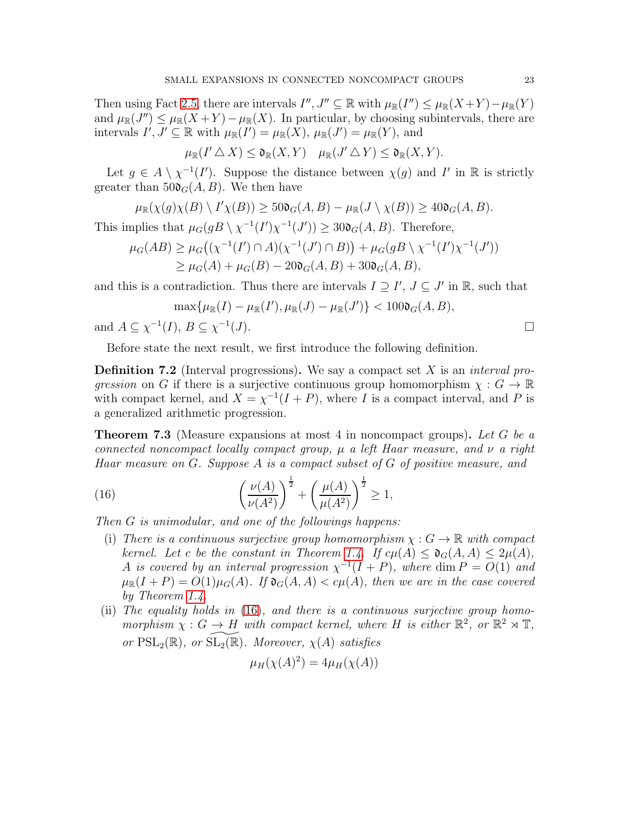Then using Fact [2.5,](#page-5-1) there are intervals  $I'', J'' \subseteq \mathbb{R}$  with  $\mu_{\mathbb{R}}(I'') \leq \mu_{\mathbb{R}}(X+Y) - \mu_{\mathbb{R}}(Y)$ and  $\mu_{\mathbb{R}}(J'') \leq \mu_{\mathbb{R}}(X+Y) - \mu_{\mathbb{R}}(X)$ . In particular, by choosing subintervals, there are intervals  $I', J' \subseteq \mathbb{R}$  with  $\mu_{\mathbb{R}}(I') = \mu_{\mathbb{R}}(X), \mu_{\mathbb{R}}(J') = \mu_{\mathbb{R}}(Y)$ , and

 $\mu_{\mathbb{R}}(I' \triangle X) \leq \mathfrak{d}_{\mathbb{R}}(X,Y) \quad \mu_{\mathbb{R}}(J' \triangle Y) \leq \mathfrak{d}_{\mathbb{R}}(X,Y).$ 

Let  $g \in A \setminus \chi^{-1}(I')$ . Suppose the distance between  $\chi(g)$  and I' in R is strictly greater than  $50\mathfrak{d}_{G}(A, B)$ . We then have

$$
\mu_{\mathbb{R}}(\chi(g)\chi(B)\setminus I'\chi(B)) \ge 50\mathfrak{d}_{G}(A,B) - \mu_{\mathbb{R}}(J\setminus\chi(B)) \ge 40\mathfrak{d}_{G}(A,B).
$$

This implies that  $\mu_G(gB \setminus \chi^{-1}(I')\chi^{-1}(J')) \geq 30\mathfrak{d}_G(A, B)$ . Therefore,

$$
\mu_G(AB) \ge \mu_G((\chi^{-1}(I') \cap A)(\chi^{-1}(J') \cap B)) + \mu_G(gB \setminus \chi^{-1}(I')\chi^{-1}(J'))
$$
  
 
$$
\ge \mu_G(A) + \mu_G(B) - 200\sigma(A, B) + 300\sigma(A, B),
$$

and this is a contradiction. Thus there are intervals  $I \supseteq I'$ ,  $J \subseteq J'$  in  $\mathbb{R}$ , such that

$$
\max\{\mu_{\mathbb{R}}(I)-\mu_{\mathbb{R}}(I'),\mu_{\mathbb{R}}(J)-\mu_{\mathbb{R}}(J')\}<100\mathfrak{d}_{G}(A,B),
$$

and  $A \subseteq \chi^{-1}(I), B \subseteq \chi^{-1}$  $(J).$ 

Before state the next result, we first introduce the following definition.

**Definition 7.2** (Interval progressions). We say a compact set X is an *interval pro*gression on G if there is a surjective continuous group homomorphism  $\chi : G \to \mathbb{R}$ with compact kernel, and  $X = \chi^{-1}(I + P)$ , where I is a compact interval, and P is a generalized arithmetic progression.

<span id="page-22-0"></span>**Theorem 7.3** (Measure expansions at most 4 in noncompact groups). Let G be a connected noncompact locally compact group,  $\mu$  a left Haar measure, and  $\nu$  a right Haar measure on G. Suppose A is a compact subset of G of positive measure, and

(16) 
$$
\left(\frac{\nu(A)}{\nu(A^2)}\right)^{\frac{1}{2}} + \left(\frac{\mu(A)}{\mu(A^2)}\right)^{\frac{1}{2}} \ge 1,
$$

Then G is unimodular, and one of the followings happens:

- <span id="page-22-1"></span>(i) There is a continuous surjective group homomorphism  $\chi : G \to \mathbb{R}$  with compact kernel. Let c be the constant in Theorem [1.4.](#page-2-0) If  $c\mu(A) \leq \mathfrak{d}_G(A, A) \leq 2\mu(A)$ , A is covered by an interval progression  $\chi^{-1}(I+P)$ , where  $\dim P = O(1)$  and  $\mu_{\mathbb{R}}(I+P) = O(1)\mu_G(A)$ . If  $\mathfrak{d}_G(A, A) < c\mu(A)$ , then we are in the case covered by Theorem [1.4.](#page-2-0)
- (ii) The equality holds in [\(16\)](#page-22-1), and there is a continuous surjective group homomorphism  $\chi: G \to H$  with compact kernel, where H is either  $\mathbb{R}^2$ , or  $\mathbb{R}^2 \rtimes \mathbb{T}$ , or  $PSL_2(\mathbb{R})$ , or  $SL_2(\mathbb{R})$ . Moreover,  $\chi(A)$  satisfies

$$
\mu_H(\chi(A)^2) = 4\mu_H(\chi(A))
$$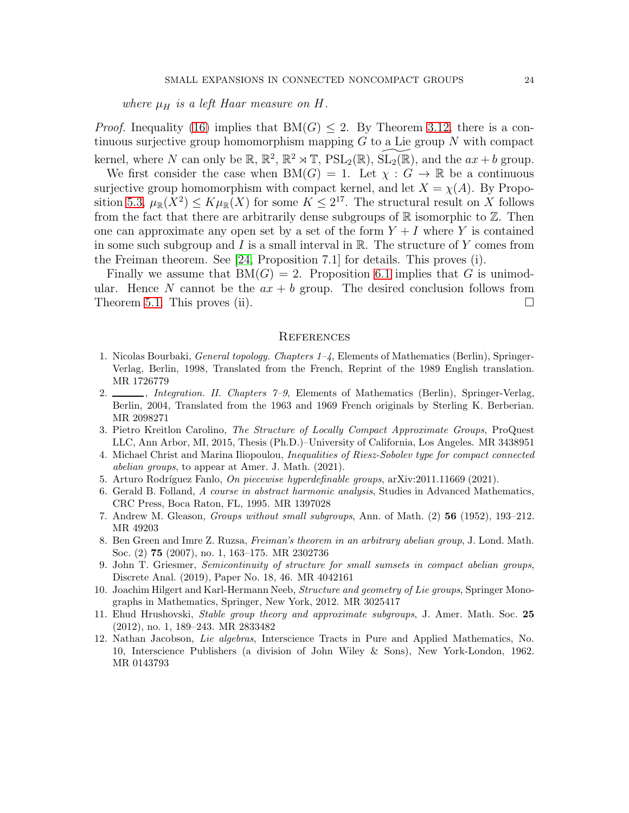where  $\mu_H$  is a left Haar measure on H.

*Proof.* Inequality [\(16\)](#page-22-1) implies that  $BM(G) \leq 2$ . By Theorem [3.12,](#page-10-0) there is a continuous surjective group homomorphism mapping  $G$  to a Lie group  $N$  with compact kernel, where N can only be  $\mathbb{R}$ ,  $\mathbb{R}^2$ ,  $\mathbb{R}^2 \rtimes \mathbb{T}$ ,  $PSL_2(\mathbb{R})$ ,  $\widetilde{SL_2(\mathbb{R})}$ , and the  $ax + b$  group.

We first consider the case when  $BM(G) = 1$ . Let  $\chi : G \to \mathbb{R}$  be a continuous surjective group homomorphism with compact kernel, and let  $X = \chi(A)$ . By Propo-sition [5.3,](#page-17-0)  $\mu_{\mathbb{R}}(X^2) \leq K \mu_{\mathbb{R}}(X)$  for some  $K \leq 2^{17}$ . The structural result on X follows from the fact that there are arbitrarily dense subgroups of  $\mathbb R$  isomorphic to  $\mathbb Z$ . Then one can approximate any open set by a set of the form  $Y + I$  where Y is contained in some such subgroup and  $I$  is a small interval in  $\mathbb R$ . The structure of  $Y$  comes from the Freiman theorem. See [\[24,](#page-24-5) Proposition 7.1] for details. This proves (i).

Finally we assume that  $BM(G) = 2$ . Proposition [6.1](#page-18-0) implies that G is unimodular. Hence N cannot be the  $ax + b$  group. The desired conclusion follows from Theorem [5.1.](#page-15-0) This proves (ii).  $\square$ 

### **REFERENCES**

- <span id="page-23-7"></span>1. Nicolas Bourbaki, General topology. Chapters 1–4, Elements of Mathematics (Berlin), Springer-Verlag, Berlin, 1998, Translated from the French, Reprint of the 1989 English translation. MR 1726779
- <span id="page-23-8"></span>2.  $\_\_\_\_\$ , Integration. II. Chapters  $\gamma$ -9, Elements of Mathematics (Berlin), Springer-Verlag, Berlin, 2004, Translated from the 1963 and 1969 French originals by Sterling K. Berberian. MR 2098271
- <span id="page-23-2"></span>3. Pietro Kreitlon Carolino, The Structure of Locally Compact Approximate Groups, ProQuest LLC, Ann Arbor, MI, 2015, Thesis (Ph.D.)–University of California, Los Angeles. MR 3438951
- <span id="page-23-5"></span>4. Michael Christ and Marina Iliopoulou, Inequalities of Riesz-Sobolev type for compact connected abelian groups, to appear at Amer. J. Math. (2021).
- <span id="page-23-9"></span><span id="page-23-1"></span>5. Arturo Rodríguez Fanlo, On piecewise hyperdefinable groups, arXiv:2011.11669 (2021).
- 6. Gerald B. Folland, A course in abstract harmonic analysis, Studies in Advanced Mathematics, CRC Press, Boca Raton, FL, 1995. MR 1397028
- <span id="page-23-6"></span><span id="page-23-0"></span>7. Andrew M. Gleason, Groups without small subgroups, Ann. of Math. (2) 56 (1952), 193–212. MR 49203
- 8. Ben Green and Imre Z. Ruzsa, Freiman's theorem in an arbitrary abelian group, J. Lond. Math. Soc. (2) 75 (2007), no. 1, 163–175. MR 2302736
- <span id="page-23-4"></span>9. John T. Griesmer, Semicontinuity of structure for small sumsets in compact abelian groups, Discrete Anal. (2019), Paper No. 18, 46. MR 4042161
- <span id="page-23-10"></span>10. Joachim Hilgert and Karl-Hermann Neeb, *Structure and geometry of Lie groups*, Springer Monographs in Mathematics, Springer, New York, 2012. MR 3025417
- <span id="page-23-3"></span>11. Ehud Hrushovski, Stable group theory and approximate subgroups, J. Amer. Math. Soc. 25 (2012), no. 1, 189–243. MR 2833482
- <span id="page-23-11"></span>12. Nathan Jacobson, Lie algebras, Interscience Tracts in Pure and Applied Mathematics, No. 10, Interscience Publishers (a division of John Wiley & Sons), New York-London, 1962. MR 0143793